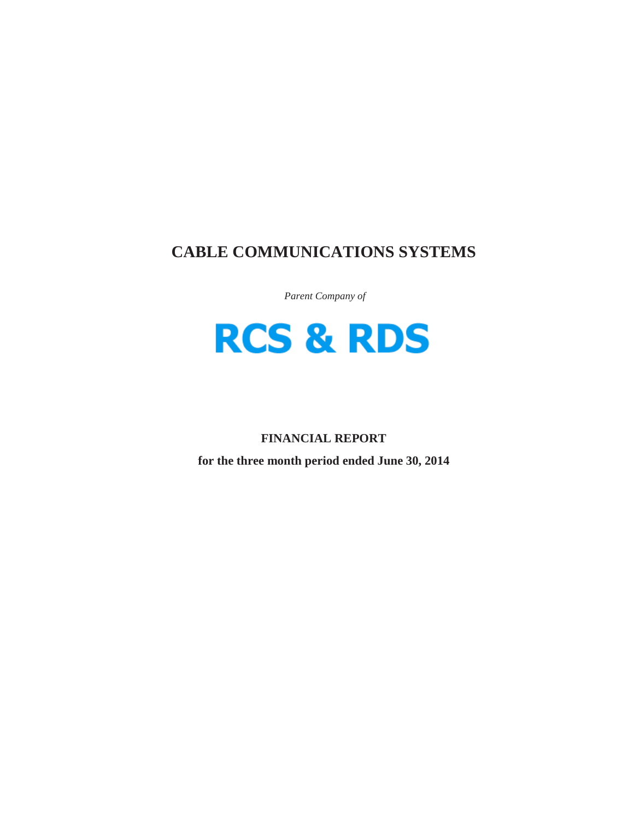# **CABLE COMMUNICATIONS SYSTEMS**

*Parent Company of*



## **FINANCIAL REPORT**

**for the three month period ended June 30, 2014**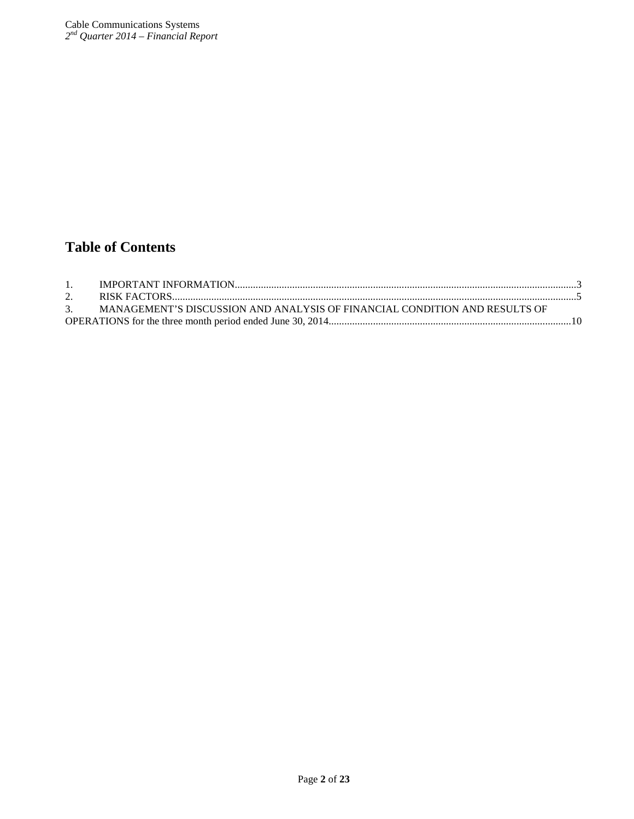# **Table of Contents**

| MANAGEMENT'S DISCUSSION AND ANALYSIS OF FINANCIAL CONDITION AND RESULTS OF |  |
|----------------------------------------------------------------------------|--|
|                                                                            |  |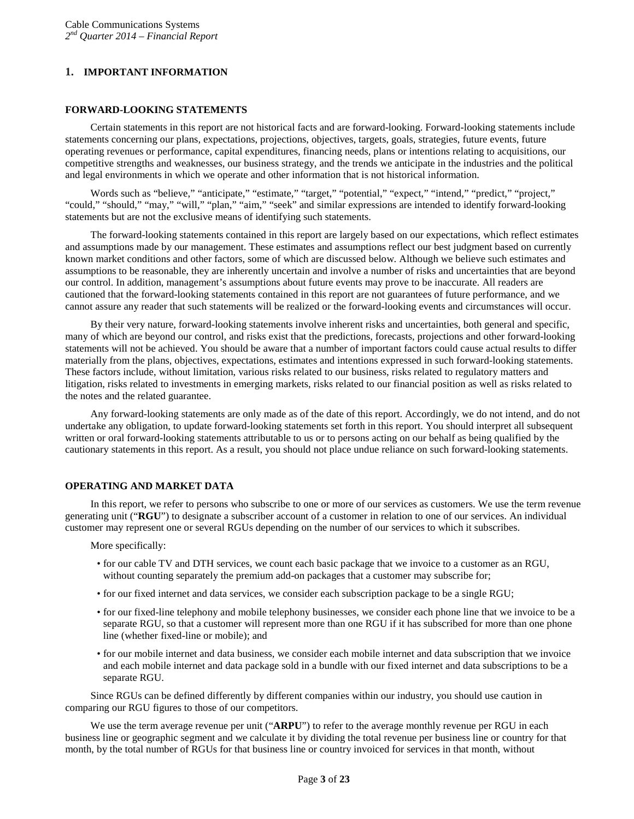## <span id="page-2-0"></span>**1. IMPORTANT INFORMATION**

#### **FORWARD-LOOKING STATEMENTS**

Certain statements in this report are not historical facts and are forward-looking. Forward-looking statements include statements concerning our plans, expectations, projections, objectives, targets, goals, strategies, future events, future operating revenues or performance, capital expenditures, financing needs, plans or intentions relating to acquisitions, our competitive strengths and weaknesses, our business strategy, and the trends we anticipate in the industries and the political and legal environments in which we operate and other information that is not historical information.

Words such as "believe," "anticipate," "estimate," "target," "potential," "expect," "intend," "predict," "project," "could," "should," "may," "will," "plan," "aim," "seek" and similar expressions are intended to identify forward-looking statements but are not the exclusive means of identifying such statements.

The forward-looking statements contained in this report are largely based on our expectations, which reflect estimates and assumptions made by our management. These estimates and assumptions reflect our best judgment based on currently known market conditions and other factors, some of which are discussed below. Although we believe such estimates and assumptions to be reasonable, they are inherently uncertain and involve a number of risks and uncertainties that are beyond our control. In addition, management's assumptions about future events may prove to be inaccurate. All readers are cautioned that the forward-looking statements contained in this report are not guarantees of future performance, and we cannot assure any reader that such statements will be realized or the forward-looking events and circumstances will occur.

By their very nature, forward-looking statements involve inherent risks and uncertainties, both general and specific, many of which are beyond our control, and risks exist that the predictions, forecasts, projections and other forward-looking statements will not be achieved. You should be aware that a number of important factors could cause actual results to differ materially from the plans, objectives, expectations, estimates and intentions expressed in such forward-looking statements. These factors include, without limitation, various risks related to our business, risks related to regulatory matters and litigation, risks related to investments in emerging markets, risks related to our financial position as well as risks related to the notes and the related guarantee.

Any forward-looking statements are only made as of the date of this report. Accordingly, we do not intend, and do not undertake any obligation, to update forward-looking statements set forth in this report. You should interpret all subsequent written or oral forward-looking statements attributable to us or to persons acting on our behalf as being qualified by the cautionary statements in this report. As a result, you should not place undue reliance on such forward-looking statements.

## **OPERATING AND MARKET DATA**

In this report, we refer to persons who subscribe to one or more of our services as customers. We use the term revenue generating unit ("**RGU**") to designate a subscriber account of a customer in relation to one of our services. An individual customer may represent one or several RGUs depending on the number of our services to which it subscribes.

More specifically:

- for our cable TV and DTH services, we count each basic package that we invoice to a customer as an RGU, without counting separately the premium add-on packages that a customer may subscribe for;
- for our fixed internet and data services, we consider each subscription package to be a single RGU;
- for our fixed-line telephony and mobile telephony businesses, we consider each phone line that we invoice to be a separate RGU, so that a customer will represent more than one RGU if it has subscribed for more than one phone line (whether fixed-line or mobile); and
- for our mobile internet and data business, we consider each mobile internet and data subscription that we invoice and each mobile internet and data package sold in a bundle with our fixed internet and data subscriptions to be a separate RGU.

Since RGUs can be defined differently by different companies within our industry, you should use caution in comparing our RGU figures to those of our competitors.

We use the term average revenue per unit ("**ARPU**") to refer to the average monthly revenue per RGU in each business line or geographic segment and we calculate it by dividing the total revenue per business line or country for that month, by the total number of RGUs for that business line or country invoiced for services in that month, without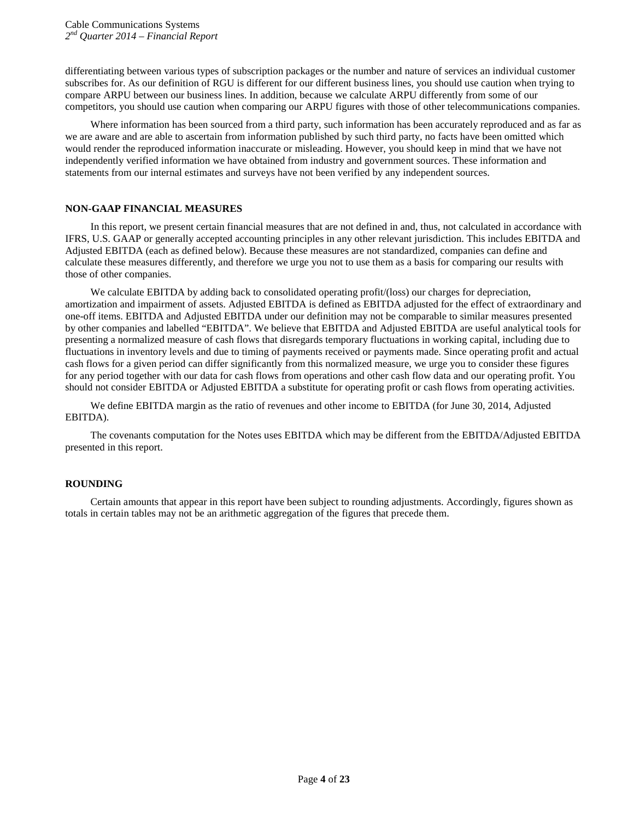differentiating between various types of subscription packages or the number and nature of services an individual customer subscribes for. As our definition of RGU is different for our different business lines, you should use caution when trying to compare ARPU between our business lines. In addition, because we calculate ARPU differently from some of our competitors, you should use caution when comparing our ARPU figures with those of other telecommunications companies.

Where information has been sourced from a third party, such information has been accurately reproduced and as far as we are aware and are able to ascertain from information published by such third party, no facts have been omitted which would render the reproduced information inaccurate or misleading. However, you should keep in mind that we have not independently verified information we have obtained from industry and government sources. These information and statements from our internal estimates and surveys have not been verified by any independent sources.

### **NON-GAAP FINANCIAL MEASURES**

In this report, we present certain financial measures that are not defined in and, thus, not calculated in accordance with IFRS, U.S. GAAP or generally accepted accounting principles in any other relevant jurisdiction. This includes EBITDA and Adjusted EBITDA (each as defined below). Because these measures are not standardized, companies can define and calculate these measures differently, and therefore we urge you not to use them as a basis for comparing our results with those of other companies.

We calculate EBITDA by adding back to consolidated operating profit/(loss) our charges for depreciation, amortization and impairment of assets. Adjusted EBITDA is defined as EBITDA adjusted for the effect of extraordinary and one-off items. EBITDA and Adjusted EBITDA under our definition may not be comparable to similar measures presented by other companies and labelled "EBITDA". We believe that EBITDA and Adjusted EBITDA are useful analytical tools for presenting a normalized measure of cash flows that disregards temporary fluctuations in working capital, including due to fluctuations in inventory levels and due to timing of payments received or payments made. Since operating profit and actual cash flows for a given period can differ significantly from this normalized measure, we urge you to consider these figures for any period together with our data for cash flows from operations and other cash flow data and our operating profit. You should not consider EBITDA or Adjusted EBITDA a substitute for operating profit or cash flows from operating activities.

We define EBITDA margin as the ratio of revenues and other income to EBITDA (for June 30, 2014, Adjusted EBITDA).

The covenants computation for the Notes uses EBITDA which may be different from the EBITDA/Adjusted EBITDA presented in this report.

## **ROUNDING**

Certain amounts that appear in this report have been subject to rounding adjustments. Accordingly, figures shown as totals in certain tables may not be an arithmetic aggregation of the figures that precede them.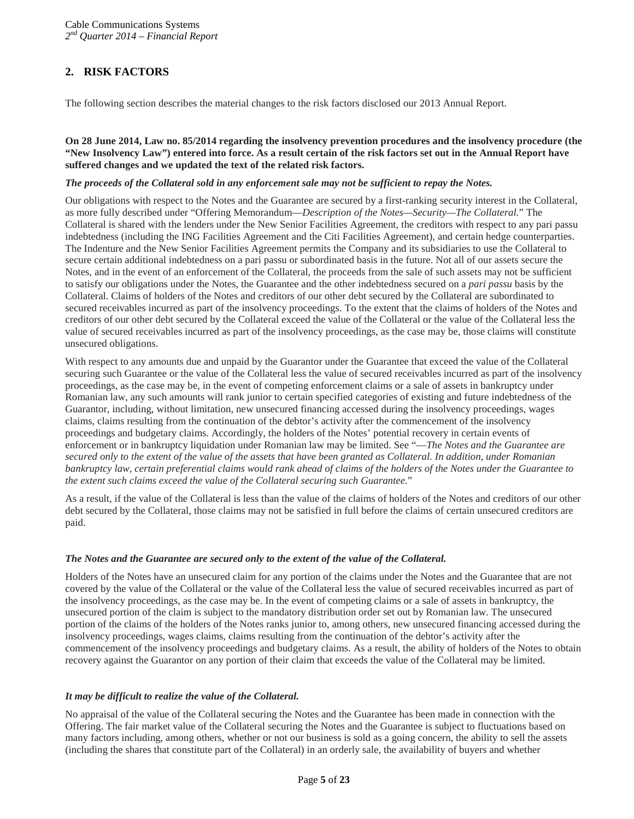## <span id="page-4-0"></span>**2. RISK FACTORS**

The following section describes the material changes to the risk factors disclosed our 2013 Annual Report.

## **On 28 June 2014, Law no. 85/2014 regarding the insolvency prevention procedures and the insolvency procedure (the "New Insolvency Law") entered into force. As a result certain of the risk factors set out in the Annual Report have suffered changes and we updated the text of the related risk factors.**

### *The proceeds of the Collateral sold in any enforcement sale may not be sufficient to repay the Notes.*

Our obligations with respect to the Notes and the Guarantee are secured by a first-ranking security interest in the Collateral, as more fully described under "Offering Memorandum—*Description of the Notes—Security—The Collateral.*" The Collateral is shared with the lenders under the New Senior Facilities Agreement, the creditors with respect to any pari passu indebtedness (including the ING Facilities Agreement and the Citi Facilities Agreement), and certain hedge counterparties. The Indenture and the New Senior Facilities Agreement permits the Company and its subsidiaries to use the Collateral to secure certain additional indebtedness on a pari passu or subordinated basis in the future. Not all of our assets secure the Notes, and in the event of an enforcement of the Collateral, the proceeds from the sale of such assets may not be sufficient to satisfy our obligations under the Notes, the Guarantee and the other indebtedness secured on a *pari passu* basis by the Collateral. Claims of holders of the Notes and creditors of our other debt secured by the Collateral are subordinated to secured receivables incurred as part of the insolvency proceedings. To the extent that the claims of holders of the Notes and creditors of our other debt secured by the Collateral exceed the value of the Collateral or the value of the Collateral less the value of secured receivables incurred as part of the insolvency proceedings, as the case may be, those claims will constitute unsecured obligations.

With respect to any amounts due and unpaid by the Guarantor under the Guarantee that exceed the value of the Collateral securing such Guarantee or the value of the Collateral less the value of secured receivables incurred as part of the insolvency proceedings, as the case may be, in the event of competing enforcement claims or a sale of assets in bankruptcy under Romanian law, any such amounts will rank junior to certain specified categories of existing and future indebtedness of the Guarantor, including, without limitation, new unsecured financing accessed during the insolvency proceedings, wages claims, claims resulting from the continuation of the debtor's activity after the commencement of the insolvency proceedings and budgetary claims. Accordingly, the holders of the Notes' potential recovery in certain events of enforcement or in bankruptcy liquidation under Romanian law may be limited. See "—*The Notes and the Guarantee are secured only to the extent of the value of the assets that have been granted as Collateral. In addition, under Romanian bankruptcy law, certain preferential claims would rank ahead of claims of the holders of the Notes under the Guarantee to the extent such claims exceed the value of the Collateral securing such Guarantee.*"

As a result, if the value of the Collateral is less than the value of the claims of holders of the Notes and creditors of our other debt secured by the Collateral, those claims may not be satisfied in full before the claims of certain unsecured creditors are paid.

## *The Notes and the Guarantee are secured only to the extent of the value of the Collateral.*

Holders of the Notes have an unsecured claim for any portion of the claims under the Notes and the Guarantee that are not covered by the value of the Collateral or the value of the Collateral less the value of secured receivables incurred as part of the insolvency proceedings, as the case may be. In the event of competing claims or a sale of assets in bankruptcy, the unsecured portion of the claim is subject to the mandatory distribution order set out by Romanian law. The unsecured portion of the claims of the holders of the Notes ranks junior to, among others, new unsecured financing accessed during the insolvency proceedings, wages claims, claims resulting from the continuation of the debtor's activity after the commencement of the insolvency proceedings and budgetary claims. As a result, the ability of holders of the Notes to obtain recovery against the Guarantor on any portion of their claim that exceeds the value of the Collateral may be limited.

## *It may be difficult to realize the value of the Collateral.*

No appraisal of the value of the Collateral securing the Notes and the Guarantee has been made in connection with the Offering. The fair market value of the Collateral securing the Notes and the Guarantee is subject to fluctuations based on many factors including, among others, whether or not our business is sold as a going concern, the ability to sell the assets (including the shares that constitute part of the Collateral) in an orderly sale, the availability of buyers and whether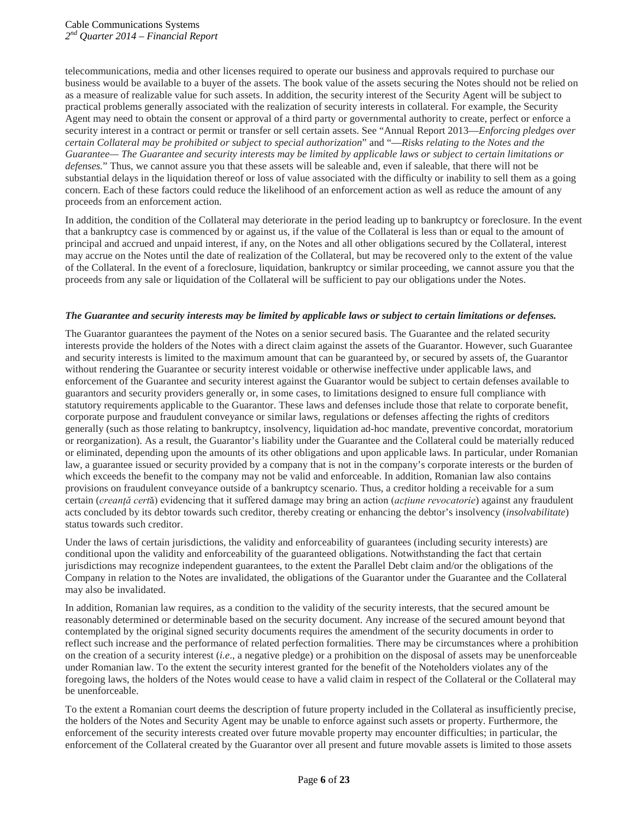telecommunications, media and other licenses required to operate our business and approvals required to purchase our business would be available to a buyer of the assets. The book value of the assets securing the Notes should not be relied on as a measure of realizable value for such assets. In addition, the security interest of the Security Agent will be subject to practical problems generally associated with the realization of security interests in collateral. For example, the Security Agent may need to obtain the consent or approval of a third party or governmental authority to create, perfect or enforce a security interest in a contract or permit or transfer or sell certain assets. See "Annual Report 2013—*Enforcing pledges over certain Collateral may be prohibited or subject to special authorization*" and "—*Risks relating to the Notes and the Guarantee— The Guarantee and security interests may be limited by applicable laws or subject to certain limitations or defenses.*" Thus, we cannot assure you that these assets will be saleable and, even if saleable, that there will not be substantial delays in the liquidation thereof or loss of value associated with the difficulty or inability to sell them as a going concern. Each of these factors could reduce the likelihood of an enforcement action as well as reduce the amount of any proceeds from an enforcement action.

In addition, the condition of the Collateral may deteriorate in the period leading up to bankruptcy or foreclosure. In the event that a bankruptcy case is commenced by or against us, if the value of the Collateral is less than or equal to the amount of principal and accrued and unpaid interest, if any, on the Notes and all other obligations secured by the Collateral, interest may accrue on the Notes until the date of realization of the Collateral, but may be recovered only to the extent of the value of the Collateral. In the event of a foreclosure, liquidation, bankruptcy or similar proceeding, we cannot assure you that the proceeds from any sale or liquidation of the Collateral will be sufficient to pay our obligations under the Notes.

### *The Guarantee and security interests may be limited by applicable laws or subject to certain limitations or defenses.*

The Guarantor guarantees the payment of the Notes on a senior secured basis. The Guarantee and the related security interests provide the holders of the Notes with a direct claim against the assets of the Guarantor. However, such Guarantee and security interests is limited to the maximum amount that can be guaranteed by, or secured by assets of, the Guarantor without rendering the Guarantee or security interest voidable or otherwise ineffective under applicable laws, and enforcement of the Guarantee and security interest against the Guarantor would be subject to certain defenses available to guarantors and security providers generally or, in some cases, to limitations designed to ensure full compliance with statutory requirements applicable to the Guarantor. These laws and defenses include those that relate to corporate benefit, corporate purpose and fraudulent conveyance or similar laws, regulations or defenses affecting the rights of creditors generally (such as those relating to bankruptcy, insolvency, liquidation ad-hoc mandate, preventive concordat, moratorium or reorganization). As a result, the Guarantor's liability under the Guarantee and the Collateral could be materially reduced or eliminated, depending upon the amounts of its other obligations and upon applicable laws. In particular, under Romanian law, a guarantee issued or security provided by a company that is not in the company's corporate interests or the burden of which exceeds the benefit to the company may not be valid and enforceable. In addition, Romanian law also contains provisions on fraudulent conveyance outside of a bankruptcy scenario. Thus, a creditor holding a receivable for a sum certain (*creanţă cert*ă) evidencing that it suffered damage may bring an action (*acţiune revocatorie*) against any fraudulent acts concluded by its debtor towards such creditor, thereby creating or enhancing the debtor's insolvency (*insolvabilitate*) status towards such creditor.

Under the laws of certain jurisdictions, the validity and enforceability of guarantees (including security interests) are conditional upon the validity and enforceability of the guaranteed obligations. Notwithstanding the fact that certain jurisdictions may recognize independent guarantees, to the extent the Parallel Debt claim and/or the obligations of the Company in relation to the Notes are invalidated, the obligations of the Guarantor under the Guarantee and the Collateral may also be invalidated.

In addition, Romanian law requires, as a condition to the validity of the security interests, that the secured amount be reasonably determined or determinable based on the security document. Any increase of the secured amount beyond that contemplated by the original signed security documents requires the amendment of the security documents in order to reflect such increase and the performance of related perfection formalities. There may be circumstances where a prohibition on the creation of a security interest (*i.e*., a negative pledge) or a prohibition on the disposal of assets may be unenforceable under Romanian law. To the extent the security interest granted for the benefit of the Noteholders violates any of the foregoing laws, the holders of the Notes would cease to have a valid claim in respect of the Collateral or the Collateral may be unenforceable.

To the extent a Romanian court deems the description of future property included in the Collateral as insufficiently precise, the holders of the Notes and Security Agent may be unable to enforce against such assets or property. Furthermore, the enforcement of the security interests created over future movable property may encounter difficulties; in particular, the enforcement of the Collateral created by the Guarantor over all present and future movable assets is limited to those assets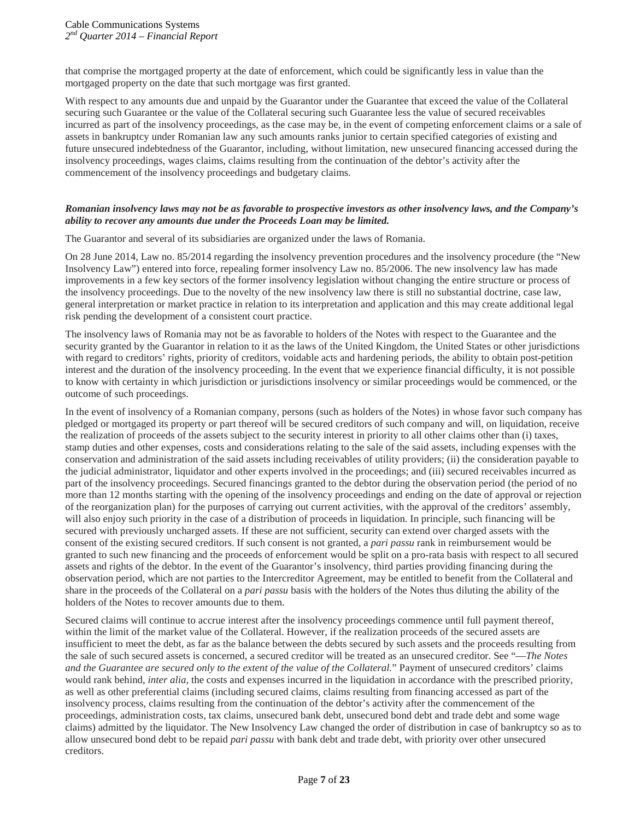that comprise the mortgaged property at the date of enforcement, which could be significantly less in value than the mortgaged property on the date that such mortgage was first granted.

With respect to any amounts due and unpaid by the Guarantor under the Guarantee that exceed the value of the Collateral securing such Guarantee or the value of the Collateral securing such Guarantee less the value of secured receivables incurred as part of the insolvency proceedings, as the case may be, in the event of competing enforcement claims or a sale of assets in bankruptcy under Romanian law any such amounts ranks junior to certain specified categories of existing and future unsecured indebtedness of the Guarantor, including, without limitation, new unsecured financing accessed during the insolvency proceedings, wages claims, claims resulting from the continuation of the debtor's activity after the commencement of the insolvency proceedings and budgetary claims.

## *Romanian insolvency laws may not be as favorable to prospective investors as other insolvency laws, and the Company's ability to recover any amounts due under the Proceeds Loan may be limited.*

The Guarantor and several of its subsidiaries are organized under the laws of Romania.

On 28 June 2014, Law no. 85/2014 regarding the insolvency prevention procedures and the insolvency procedure (the "New Insolvency Law") entered into force, repealing former insolvency Law no. 85/2006. The new insolvency law has made improvements in a few key sectors of the former insolvency legislation without changing the entire structure or process of the insolvency proceedings. Due to the novelty of the new insolvency law there is still no substantial doctrine, case law, general interpretation or market practice in relation to its interpretation and application and this may create additional legal risk pending the development of a consistent court practice.

The insolvency laws of Romania may not be as favorable to holders of the Notes with respect to the Guarantee and the security granted by the Guarantor in relation to it as the laws of the United Kingdom, the United States or other jurisdictions with regard to creditors' rights, priority of creditors, voidable acts and hardening periods, the ability to obtain post-petition interest and the duration of the insolvency proceeding. In the event that we experience financial difficulty, it is not possible to know with certainty in which jurisdiction or jurisdictions insolvency or similar proceedings would be commenced, or the outcome of such proceedings.

In the event of insolvency of a Romanian company, persons (such as holders of the Notes) in whose favor such company has pledged or mortgaged its property or part thereof will be secured creditors of such company and will, on liquidation, receive the realization of proceeds of the assets subject to the security interest in priority to all other claims other than (i) taxes, stamp duties and other expenses, costs and considerations relating to the sale of the said assets, including expenses with the conservation and administration of the said assets including receivables of utility providers; (ii) the consideration payable to the judicial administrator, liquidator and other experts involved in the proceedings; and (iii) secured receivables incurred as part of the insolvency proceedings. Secured financings granted to the debtor during the observation period (the period of no more than 12 months starting with the opening of the insolvency proceedings and ending on the date of approval or rejection of the reorganization plan) for the purposes of carrying out current activities, with the approval of the creditors' assembly, will also enjoy such priority in the case of a distribution of proceeds in liquidation. In principle, such financing will be secured with previously uncharged assets. If these are not sufficient, security can extend over charged assets with the consent of the existing secured creditors. If such consent is not granted, a *pari passu* rank in reimbursement would be granted to such new financing and the proceeds of enforcement would be split on a pro-rata basis with respect to all secured assets and rights of the debtor. In the event of the Guarantor's insolvency, third parties providing financing during the observation period, which are not parties to the Intercreditor Agreement, may be entitled to benefit from the Collateral and share in the proceeds of the Collateral on a *pari passu* basis with the holders of the Notes thus diluting the ability of the holders of the Notes to recover amounts due to them.

Secured claims will continue to accrue interest after the insolvency proceedings commence until full payment thereof, within the limit of the market value of the Collateral. However, if the realization proceeds of the secured assets are insufficient to meet the debt, as far as the balance between the debts secured by such assets and the proceeds resulting from the sale of such secured assets is concerned, a secured creditor will be treated as an unsecured creditor. See "—*The Notes and the Guarantee are secured only to the extent of the value of the Collateral.*" Payment of unsecured creditors' claims would rank behind, *inter alia*, the costs and expenses incurred in the liquidation in accordance with the prescribed priority, as well as other preferential claims (including secured claims, claims resulting from financing accessed as part of the insolvency process, claims resulting from the continuation of the debtor's activity after the commencement of the proceedings, administration costs, tax claims, unsecured bank debt, unsecured bond debt and trade debt and some wage claims) admitted by the liquidator. The New Insolvency Law changed the order of distribution in case of bankruptcy so as to allow unsecured bond debt to be repaid *pari passu* with bank debt and trade debt, with priority over other unsecured creditors.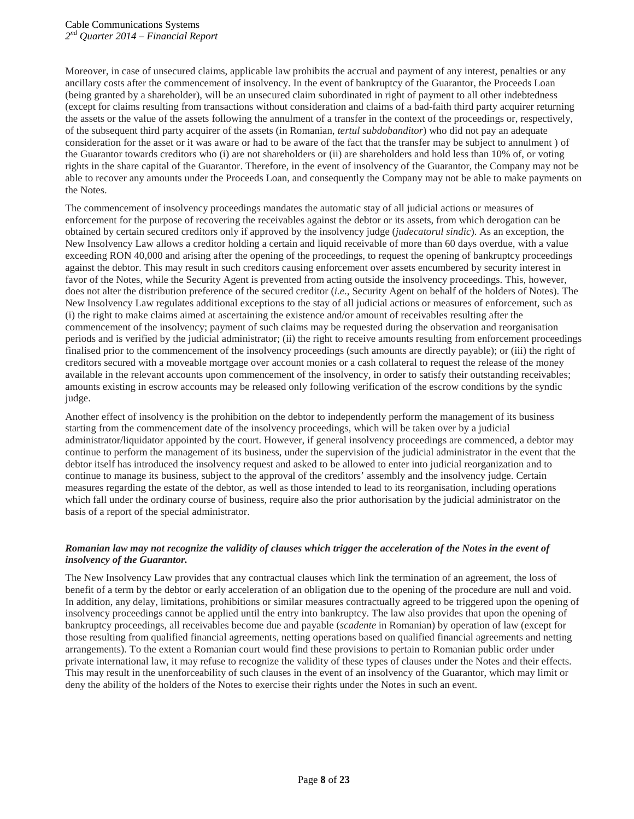Moreover, in case of unsecured claims, applicable law prohibits the accrual and payment of any interest, penalties or any ancillary costs after the commencement of insolvency. In the event of bankruptcy of the Guarantor, the Proceeds Loan (being granted by a shareholder), will be an unsecured claim subordinated in right of payment to all other indebtedness (except for claims resulting from transactions without consideration and claims of a bad-faith third party acquirer returning the assets or the value of the assets following the annulment of a transfer in the context of the proceedings or, respectively, of the subsequent third party acquirer of the assets (in Romanian, *tertul subdobanditor*) who did not pay an adequate consideration for the asset or it was aware or had to be aware of the fact that the transfer may be subject to annulment ) of the Guarantor towards creditors who (i) are not shareholders or (ii) are shareholders and hold less than 10% of, or voting rights in the share capital of the Guarantor. Therefore, in the event of insolvency of the Guarantor, the Company may not be able to recover any amounts under the Proceeds Loan, and consequently the Company may not be able to make payments on the Notes.

The commencement of insolvency proceedings mandates the automatic stay of all judicial actions or measures of enforcement for the purpose of recovering the receivables against the debtor or its assets, from which derogation can be obtained by certain secured creditors only if approved by the insolvency judge (*judecatorul sindic*). As an exception, the New Insolvency Law allows a creditor holding a certain and liquid receivable of more than 60 days overdue, with a value exceeding RON 40,000 and arising after the opening of the proceedings, to request the opening of bankruptcy proceedings against the debtor. This may result in such creditors causing enforcement over assets encumbered by security interest in favor of the Notes, while the Security Agent is prevented from acting outside the insolvency proceedings. This, however, does not alter the distribution preference of the secured creditor (*i.e*., Security Agent on behalf of the holders of Notes). The New Insolvency Law regulates additional exceptions to the stay of all judicial actions or measures of enforcement, such as (i) the right to make claims aimed at ascertaining the existence and/or amount of receivables resulting after the commencement of the insolvency; payment of such claims may be requested during the observation and reorganisation periods and is verified by the judicial administrator; (ii) the right to receive amounts resulting from enforcement proceedings finalised prior to the commencement of the insolvency proceedings (such amounts are directly payable); or (iii) the right of creditors secured with a moveable mortgage over account monies or a cash collateral to request the release of the money available in the relevant accounts upon commencement of the insolvency, in order to satisfy their outstanding receivables; amounts existing in escrow accounts may be released only following verification of the escrow conditions by the syndic judge.

Another effect of insolvency is the prohibition on the debtor to independently perform the management of its business starting from the commencement date of the insolvency proceedings, which will be taken over by a judicial administrator/liquidator appointed by the court. However, if general insolvency proceedings are commenced, a debtor may continue to perform the management of its business, under the supervision of the judicial administrator in the event that the debtor itself has introduced the insolvency request and asked to be allowed to enter into judicial reorganization and to continue to manage its business, subject to the approval of the creditors' assembly and the insolvency judge. Certain measures regarding the estate of the debtor, as well as those intended to lead to its reorganisation, including operations which fall under the ordinary course of business, require also the prior authorisation by the judicial administrator on the basis of a report of the special administrator.

## *Romanian law may not recognize the validity of clauses which trigger the acceleration of the Notes in the event of insolvency of the Guarantor.*

The New Insolvency Law provides that any contractual clauses which link the termination of an agreement, the loss of benefit of a term by the debtor or early acceleration of an obligation due to the opening of the procedure are null and void. In addition, any delay, limitations, prohibitions or similar measures contractually agreed to be triggered upon the opening of insolvency proceedings cannot be applied until the entry into bankruptcy. The law also provides that upon the opening of bankruptcy proceedings, all receivables become due and payable (*scadente* in Romanian) by operation of law (except for those resulting from qualified financial agreements, netting operations based on qualified financial agreements and netting arrangements). To the extent a Romanian court would find these provisions to pertain to Romanian public order under private international law, it may refuse to recognize the validity of these types of clauses under the Notes and their effects. This may result in the unenforceability of such clauses in the event of an insolvency of the Guarantor, which may limit or deny the ability of the holders of the Notes to exercise their rights under the Notes in such an event.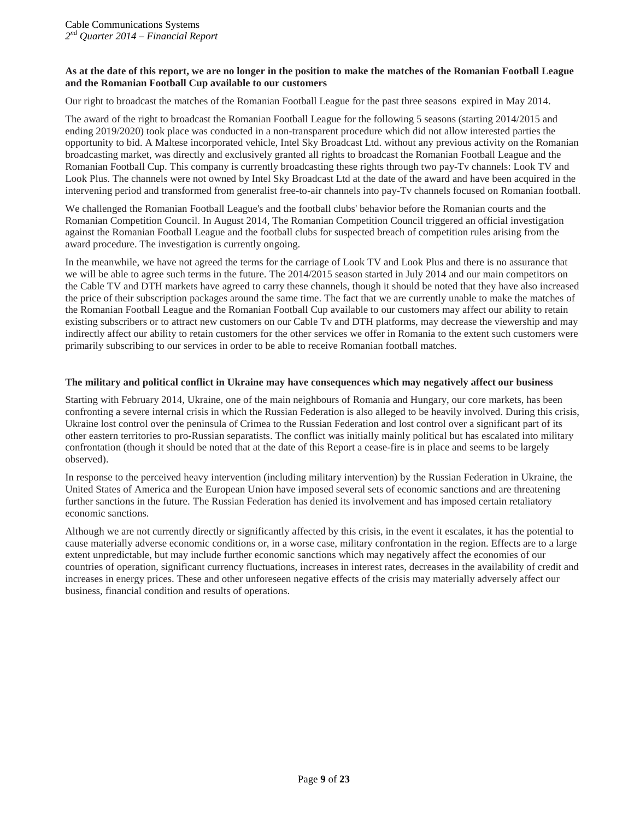## **As at the date of this report, we are no longer in the position to make the matches of the Romanian Football League and the Romanian Football Cup available to our customers**

Our right to broadcast the matches of the Romanian Football League for the past three seasons expired in May 2014.

The award of the right to broadcast the Romanian Football League for the following 5 seasons (starting 2014/2015 and ending 2019/2020) took place was conducted in a non-transparent procedure which did not allow interested parties the opportunity to bid. A Maltese incorporated vehicle, Intel Sky Broadcast Ltd. without any previous activity on the Romanian broadcasting market, was directly and exclusively granted all rights to broadcast the Romanian Football League and the Romanian Football Cup. This company is currently broadcasting these rights through two pay-Tv channels: Look TV and Look Plus. The channels were not owned by Intel Sky Broadcast Ltd at the date of the award and have been acquired in the intervening period and transformed from generalist free-to-air channels into pay-Tv channels focused on Romanian football.

We challenged the Romanian Football League's and the football clubs' behavior before the Romanian courts and the Romanian Competition Council. In August 2014, The Romanian Competition Council triggered an official investigation against the Romanian Football League and the football clubs for suspected breach of competition rules arising from the award procedure. The investigation is currently ongoing.

In the meanwhile, we have not agreed the terms for the carriage of Look TV and Look Plus and there is no assurance that we will be able to agree such terms in the future. The 2014/2015 season started in July 2014 and our main competitors on the Cable TV and DTH markets have agreed to carry these channels, though it should be noted that they have also increased the price of their subscription packages around the same time. The fact that we are currently unable to make the matches of the Romanian Football League and the Romanian Football Cup available to our customers may affect our ability to retain existing subscribers or to attract new customers on our Cable Tv and DTH platforms, may decrease the viewership and may indirectly affect our ability to retain customers for the other services we offer in Romania to the extent such customers were primarily subscribing to our services in order to be able to receive Romanian football matches.

#### **The military and political conflict in Ukraine may have consequences which may negatively affect our business**

Starting with February 2014, Ukraine, one of the main neighbours of Romania and Hungary, our core markets, has been confronting a severe internal crisis in which the Russian Federation is also alleged to be heavily involved. During this crisis, Ukraine lost control over the peninsula of Crimea to the Russian Federation and lost control over a significant part of its other eastern territories to pro-Russian separatists. The conflict was initially mainly political but has escalated into military confrontation (though it should be noted that at the date of this Report a cease-fire is in place and seems to be largely observed).

In response to the perceived heavy intervention (including military intervention) by the Russian Federation in Ukraine, the United States of America and the European Union have imposed several sets of economic sanctions and are threatening further sanctions in the future. The Russian Federation has denied its involvement and has imposed certain retaliatory economic sanctions.

Although we are not currently directly or significantly affected by this crisis, in the event it escalates, it has the potential to cause materially adverse economic conditions or, in a worse case, military confrontation in the region. Effects are to a large extent unpredictable, but may include further economic sanctions which may negatively affect the economies of our countries of operation, significant currency fluctuations, increases in interest rates, decreases in the availability of credit and increases in energy prices. These and other unforeseen negative effects of the crisis may materially adversely affect our business, financial condition and results of operations.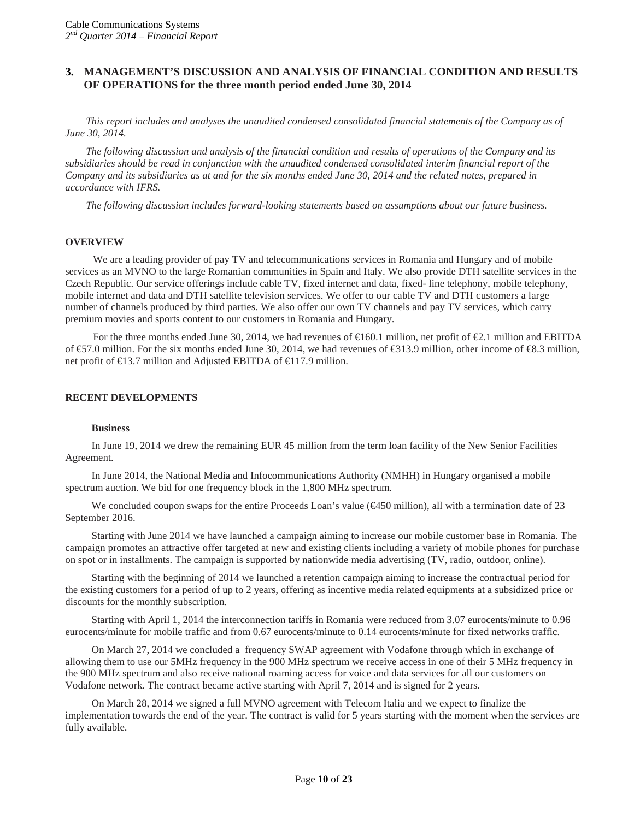## <span id="page-9-0"></span>**3. MANAGEMENT'S DISCUSSION AND ANALYSIS OF FINANCIAL CONDITION AND RESULTS OF OPERATIONS for the three month period ended June 30, 2014**

*This report includes and analyses the unaudited condensed consolidated financial statements of the Company as of June 30, 2014.*

*The following discussion and analysis of the financial condition and results of operations of the Company and its subsidiaries should be read in conjunction with the unaudited condensed consolidated interim financial report of the Company and its subsidiaries as at and for the six months ended June 30, 2014 and the related notes, prepared in accordance with IFRS.*

*The following discussion includes forward-looking statements based on assumptions about our future business.*

#### **OVERVIEW**

We are a leading provider of pay TV and telecommunications services in Romania and Hungary and of mobile services as an MVNO to the large Romanian communities in Spain and Italy. We also provide DTH satellite services in the Czech Republic. Our service offerings include cable TV, fixed internet and data, fixed- line telephony, mobile telephony, mobile internet and data and DTH satellite television services. We offer to our cable TV and DTH customers a large number of channels produced by third parties. We also offer our own TV channels and pay TV services, which carry premium movies and sports content to our customers in Romania and Hungary.

For the three months ended June 30, 2014, we had revenues of  $\in$  60.1 million, net profit of  $\infty$ .1 million and EBITDA of  $€7.0$  million. For the six months ended June 30, 2014, we had revenues of  $€313.9$  million, other income of  $€3.3$  million, net profit of €13.7 million and Adjusted EBITDA of €117.9 million.

#### **RECENT DEVELOPMENTS**

#### **Business**

In June 19, 2014 we drew the remaining EUR 45 million from the term loan facility of the New Senior Facilities Agreement.

In June 2014, the National Media and Infocommunications Authority (NMHH) in Hungary organised a mobile spectrum auction. We bid for one frequency block in the 1,800 MHz spectrum.

We concluded coupon swaps for the entire Proceeds Loan's value ( $\epsilon$ 450 million), all with a termination date of 23 September 2016.

Starting with June 2014 we have launched a campaign aiming to increase our mobile customer base in Romania. The campaign promotes an attractive offer targeted at new and existing clients including a variety of mobile phones for purchase on spot or in installments. The campaign is supported by nationwide media advertising (TV, radio, outdoor, online).

Starting with the beginning of 2014 we launched a retention campaign aiming to increase the contractual period for the existing customers for a period of up to 2 years, offering as incentive media related equipments at a subsidized price or discounts for the monthly subscription.

Starting with April 1, 2014 the interconnection tariffs in Romania were reduced from 3.07 eurocents/minute to 0.96 eurocents/minute for mobile traffic and from 0.67 eurocents/minute to 0.14 eurocents/minute for fixed networks traffic.

On March 27, 2014 we concluded a frequency SWAP agreement with Vodafone through which in exchange of allowing them to use our 5MHz frequency in the 900 MHz spectrum we receive access in one of their 5 MHz frequency in the 900 MHz spectrum and also receive national roaming access for voice and data services for all our customers on Vodafone network. The contract became active starting with April 7, 2014 and is signed for 2 years.

On March 28, 2014 we signed a full MVNO agreement with Telecom Italia and we expect to finalize the implementation towards the end of the year. The contract is valid for 5 years starting with the moment when the services are fully available.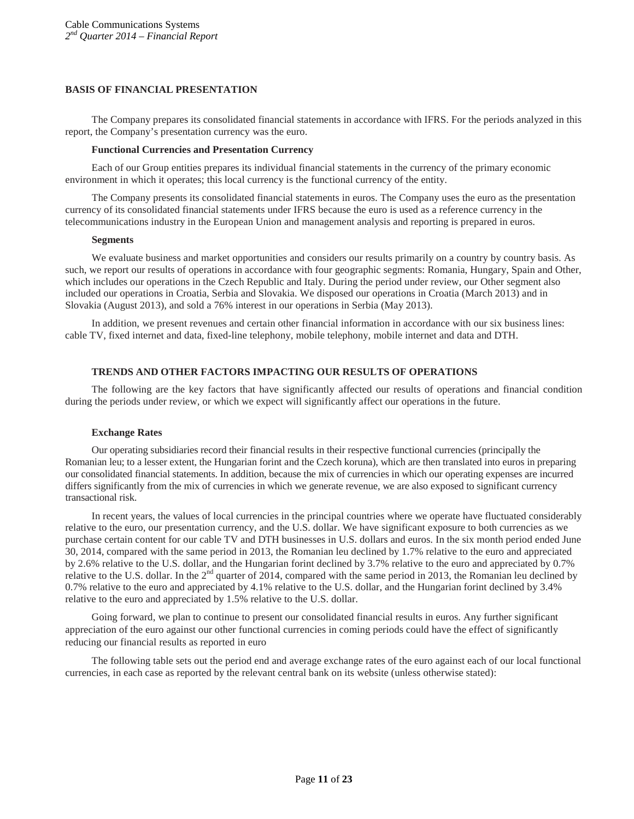#### **BASIS OF FINANCIAL PRESENTATION**

The Company prepares its consolidated financial statements in accordance with IFRS. For the periods analyzed in this report, the Company's presentation currency was the euro.

#### **Functional Currencies and Presentation Currency**

Each of our Group entities prepares its individual financial statements in the currency of the primary economic environment in which it operates; this local currency is the functional currency of the entity.

The Company presents its consolidated financial statements in euros. The Company uses the euro as the presentation currency of its consolidated financial statements under IFRS because the euro is used as a reference currency in the telecommunications industry in the European Union and management analysis and reporting is prepared in euros.

#### **Segments**

We evaluate business and market opportunities and considers our results primarily on a country by country basis. As such, we report our results of operations in accordance with four geographic segments: Romania, Hungary, Spain and Other, which includes our operations in the Czech Republic and Italy. During the period under review, our Other segment also included our operations in Croatia, Serbia and Slovakia. We disposed our operations in Croatia (March 2013) and in Slovakia (August 2013), and sold a 76% interest in our operations in Serbia (May 2013).

In addition, we present revenues and certain other financial information in accordance with our six business lines: cable TV, fixed internet and data, fixed-line telephony, mobile telephony, mobile internet and data and DTH.

#### **TRENDS AND OTHER FACTORS IMPACTING OUR RESULTS OF OPERATIONS**

The following are the key factors that have significantly affected our results of operations and financial condition during the periods under review, or which we expect will significantly affect our operations in the future.

#### **Exchange Rates**

Our operating subsidiaries record their financial results in their respective functional currencies (principally the Romanian leu; to a lesser extent, the Hungarian forint and the Czech koruna), which are then translated into euros in preparing our consolidated financial statements. In addition, because the mix of currencies in which our operating expenses are incurred differs significantly from the mix of currencies in which we generate revenue, we are also exposed to significant currency transactional risk.

In recent years, the values of local currencies in the principal countries where we operate have fluctuated considerably relative to the euro, our presentation currency, and the U.S. dollar. We have significant exposure to both currencies as we purchase certain content for our cable TV and DTH businesses in U.S. dollars and euros. In the six month period ended June 30, 2014, compared with the same period in 2013, the Romanian leu declined by 1.7% relative to the euro and appreciated by 2.6% relative to the U.S. dollar, and the Hungarian forint declined by 3.7% relative to the euro and appreciated by 0.7% relative to the U.S. dollar. In the 2<sup>nd</sup> quarter of 2014, compared with the same period in 2013, the Romanian leu declined by 0.7% relative to the euro and appreciated by 4.1% relative to the U.S. dollar, and the Hungarian forint declined by 3.4% relative to the euro and appreciated by 1.5% relative to the U.S. dollar.

Going forward, we plan to continue to present our consolidated financial results in euros. Any further significant appreciation of the euro against our other functional currencies in coming periods could have the effect of significantly reducing our financial results as reported in euro

The following table sets out the period end and average exchange rates of the euro against each of our local functional currencies, in each case as reported by the relevant central bank on its website (unless otherwise stated):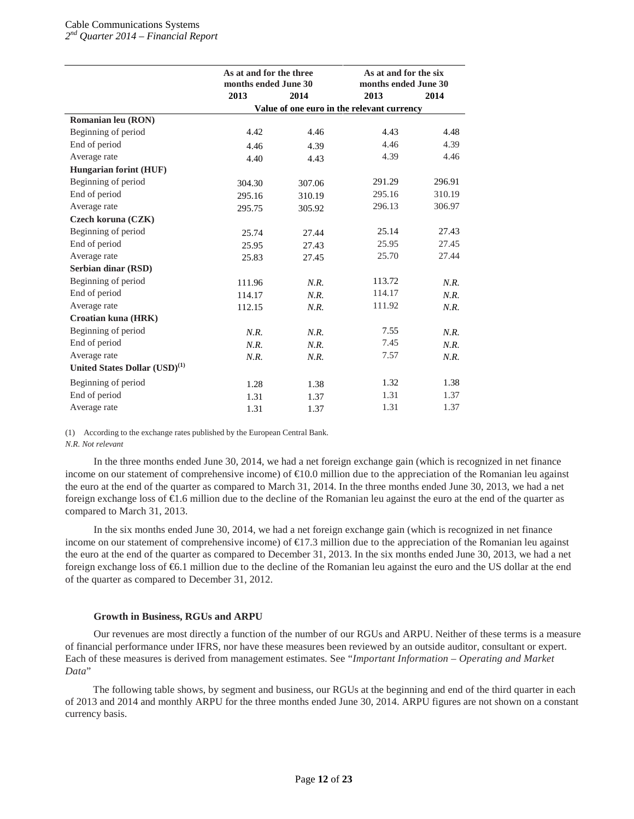# Cable Communications Systems

|  | $2^{nd}$ Quarter 2014 – Financial Report |  |
|--|------------------------------------------|--|
|  |                                          |  |
|  |                                          |  |

|                                           | As at and for the three<br>months ended June 30 |        | As at and for the six<br>months ended June 30 |        |  |
|-------------------------------------------|-------------------------------------------------|--------|-----------------------------------------------|--------|--|
|                                           | 2013                                            | 2014   | 2013                                          | 2014   |  |
|                                           |                                                 |        | Value of one euro in the relevant currency    |        |  |
| Romanian leu (RON)                        |                                                 |        |                                               |        |  |
| Beginning of period                       | 4.42                                            | 4.46   | 4.43                                          | 4.48   |  |
| End of period                             | 4.46                                            | 4.39   | 4.46                                          | 4.39   |  |
| Average rate                              | 4.40                                            | 4.43   | 4.39                                          | 4.46   |  |
| <b>Hungarian forint (HUF)</b>             |                                                 |        |                                               |        |  |
| Beginning of period                       | 304.30                                          | 307.06 | 291.29                                        | 296.91 |  |
| End of period                             | 295.16                                          | 310.19 | 295.16                                        | 310.19 |  |
| Average rate                              | 295.75                                          | 305.92 | 296.13                                        | 306.97 |  |
| Czech koruna (CZK)                        |                                                 |        |                                               |        |  |
| Beginning of period                       | 25.74                                           | 27.44  | 25.14                                         | 27.43  |  |
| End of period                             | 25.95                                           | 27.43  | 25.95                                         | 27.45  |  |
| Average rate                              | 25.83                                           | 27.45  | 25.70                                         | 27.44  |  |
| Serbian dinar (RSD)                       |                                                 |        |                                               |        |  |
| Beginning of period                       | 111.96                                          | N.R.   | 113.72                                        | N.R.   |  |
| End of period                             | 114.17                                          | N.R.   | 114.17                                        | N.R.   |  |
| Average rate                              | 112.15                                          | N.R.   | 111.92                                        | N.R.   |  |
| Croatian kuna (HRK)                       |                                                 |        |                                               |        |  |
| Beginning of period                       | N.R.                                            | N.R.   | 7.55                                          | N.R.   |  |
| End of period                             | N.R.                                            | N.R.   | 7.45                                          | N.R.   |  |
| Average rate                              | N.R.                                            | N.R.   | 7.57                                          | N.R.   |  |
| United States Dollar (USD) <sup>(1)</sup> |                                                 |        |                                               |        |  |
| Beginning of period                       | 1.28                                            | 1.38   | 1.32                                          | 1.38   |  |
| End of period                             | 1.31                                            | 1.37   | 1.31                                          | 1.37   |  |
| Average rate                              | 1.31                                            | 1.37   | 1.31                                          | 1.37   |  |

(1) According to the exchange rates published by the European Central Bank. *N.R. Not relevant*

In the three months ended June 30, 2014, we had a net foreign exchange gain (which is recognized in net finance income on our statement of comprehensive income) of €10.0 million due to the appreciation of the Romanian leu against the euro at the end of the quarter as compared to March 31, 2014. In the three months ended June 30, 2013, we had a net foreign exchange loss of €1.6 million due to the decline of the Romanian leu against the euro at the end of the quarter as compared to March 31, 2013.

In the six months ended June 30, 2014, we had a net foreign exchange gain (which is recognized in net finance income on our statement of comprehensive income) of €17.3 million due to the appreciation of the Romanian leu against the euro at the end of the quarter as compared to December 31, 2013. In the six months ended June 30, 2013, we had a net foreign exchange loss of €6.1 million due to the decline of the Romanian leu against the euro and the US dollar at the end of the quarter as compared to December 31, 2012.

## **Growth in Business, RGUs and ARPU**

Our revenues are most directly a function of the number of our RGUs and ARPU. Neither of these terms is a measure of financial performance under IFRS, nor have these measures been reviewed by an outside auditor, consultant or expert. Each of these measures is derived from management estimates. See "*Important Information – Operating and Market Data*"

The following table shows, by segment and business, our RGUs at the beginning and end of the third quarter in each of 2013 and 2014 and monthly ARPU for the three months ended June 30, 2014. ARPU figures are not shown on a constant currency basis.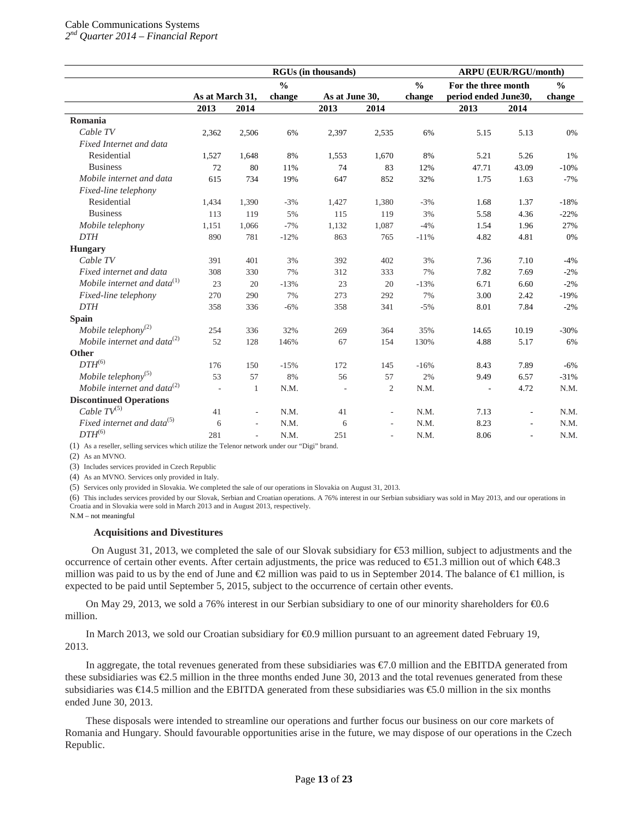*2nd Quarter 2014 – Financial Report*

|                                        | <b>RGUs (in thousands)</b> |                          |               |                |                          |               |                      | <b>ARPU (EUR/RGU/month)</b> |               |
|----------------------------------------|----------------------------|--------------------------|---------------|----------------|--------------------------|---------------|----------------------|-----------------------------|---------------|
|                                        |                            |                          | $\frac{0}{0}$ |                |                          | $\frac{0}{0}$ | For the three month  |                             | $\frac{0}{0}$ |
|                                        | As at March 31,            |                          | change        | As at June 30, |                          | change        | period ended June30, |                             | change        |
|                                        | 2013                       | 2014                     |               | 2013           | 2014                     |               | 2013                 | 2014                        |               |
| Romania                                |                            |                          |               |                |                          |               |                      |                             |               |
| Cable TV                               | 2,362                      | 2,506                    | 6%            | 2,397          | 2,535                    | 6%            | 5.15                 | 5.13                        | 0%            |
| Fixed Internet and data                |                            |                          |               |                |                          |               |                      |                             |               |
| Residential                            | 1,527                      | 1,648                    | 8%            | 1,553          | 1,670                    | 8%            | 5.21                 | 5.26                        | 1%            |
| <b>Business</b>                        | 72                         | 80                       | 11%           | 74             | 83                       | 12%           | 47.71                | 43.09                       | $-10%$        |
| Mobile internet and data               | 615                        | 734                      | 19%           | 647            | 852                      | 32%           | 1.75                 | 1.63                        | $-7%$         |
| Fixed-line telephony                   |                            |                          |               |                |                          |               |                      |                             |               |
| Residential                            | 1,434                      | 1,390                    | $-3%$         | 1,427          | 1,380                    | $-3%$         | 1.68                 | 1.37                        | $-18%$        |
| <b>Business</b>                        | 113                        | 119                      | 5%            | 115            | 119                      | 3%            | 5.58                 | 4.36                        | $-22%$        |
| Mobile telephony                       | 1,151                      | 1,066                    | $-7%$         | 1,132          | 1,087                    | $-4%$         | 1.54                 | 1.96                        | 27%           |
| <b>DTH</b>                             | 890                        | 781                      | $-12%$        | 863            | 765                      | $-11%$        | 4.82                 | 4.81                        | 0%            |
| <b>Hungary</b>                         |                            |                          |               |                |                          |               |                      |                             |               |
| Cable TV                               | 391                        | 401                      | 3%            | 392            | 402                      | 3%            | 7.36                 | 7.10                        | $-4%$         |
| Fixed internet and data                | 308                        | 330                      | 7%            | 312            | 333                      | 7%            | 7.82                 | 7.69                        | $-2%$         |
| Mobile internet and data $^{(1)}$      | 23                         | 20                       | $-13%$        | 23             | 20                       | $-13%$        | 6.71                 | 6.60                        | $-2%$         |
| Fixed-line telephony                   | 270                        | 290                      | 7%            | 273            | 292                      | 7%            | 3.00                 | 2.42                        | $-19%$        |
| <b>DTH</b>                             | 358                        | 336                      | $-6%$         | 358            | 341                      | $-5%$         | 8.01                 | 7.84                        | $-2%$         |
| <b>Spain</b>                           |                            |                          |               |                |                          |               |                      |                             |               |
| Mobile telephony $(2)$                 | 254                        | 336                      | 32%           | 269            | 364                      | 35%           | 14.65                | 10.19                       | $-30%$        |
| Mobile internet and data $^{(2)}$      | 52                         | 128                      | 146%          | 67             | 154                      | 130%          | 4.88                 | 5.17                        | 6%            |
| Other                                  |                            |                          |               |                |                          |               |                      |                             |               |
| $DTH^{(6)}$                            | 176                        | 150                      | $-15%$        | 172            | 145                      | $-16%$        | 8.43                 | 7.89                        | $-6%$         |
| Mobile telephony $(5)$                 | 53                         | 57                       | 8%            | 56             | 57                       | 2%            | 9.49                 | 6.57                        | $-31%$        |
| Mobile internet and data $^{(2)}$      | J.                         | 1                        | N.M.          |                | 2                        | N.M.          |                      | 4.72                        | N.M.          |
| <b>Discontinued Operations</b>         |                            |                          |               |                |                          |               |                      |                             |               |
| Cable $TV^{(5)}$                       | 41                         | $\overline{\phantom{a}}$ | N.M.          | 41             | $\sim$                   | N.M.          | 7.13                 | $\overline{\phantom{a}}$    | N.M.          |
| Fixed internet and data <sup>(5)</sup> | 6                          | ÷,                       | N.M.          | 6              | ÷,                       | N.M.          | 8.23                 | $\overline{\phantom{a}}$    | N.M.          |
| $DTH^{(6)}$                            | 281                        | $\overline{\phantom{m}}$ | N.M.          | 251            | $\overline{\phantom{a}}$ | N.M.          | 8.06                 | ÷,                          | N.M.          |

(1) As a reseller, selling services which utilize the Telenor network under our "Digi" brand.

(2) As an MVNO.

(3) Includes services provided in Czech Republic

(4) As an MVNO. Services only provided in Italy.

(5) Services only provided in Slovakia. We completed the sale of our operations in Slovakia on August 31, 2013.

(6) This includes services provided by our Slovak, Serbian and Croatian operations. A 76% interest in our Serbian subsidiary was sold in May 2013, and our operations in Croatia and in Slovakia were sold in March 2013 and in August 2013, respectively.

N.M – not meaningful

#### **Acquisitions and Divestitures**

On August 31, 2013, we completed the sale of our Slovak subsidiary for €53 million, subject to adjustments and the occurrence of certain other events. After certain adjustments, the price was reduced to €51.3 million out of which €48.3 million was paid to us by the end of June and  $\mathcal Q$  million was paid to us in September 2014. The balance of  $\mathcal Q$  million, is expected to be paid until September 5, 2015, subject to the occurrence of certain other events.

On May 29, 2013, we sold a 76% interest in our Serbian subsidiary to one of our minority shareholders for €0.6 million.

In March 2013, we sold our Croatian subsidiary for €0.9 million pursuant to an agreement dated February 19, 2013.

In aggregate, the total revenues generated from these subsidiaries was €7.0 million and the EBITDA generated from these subsidiaries was €2.5 million in the three months ended June 30, 2013 and the total revenues generated from these subsidiaries was  $\in$ 4.5 million and the EBITDA generated from these subsidiaries was  $\in$ 5.0 million in the six months ended June 30, 2013.

These disposals were intended to streamline our operations and further focus our business on our core markets of Romania and Hungary. Should favourable opportunities arise in the future, we may dispose of our operations in the Czech Republic.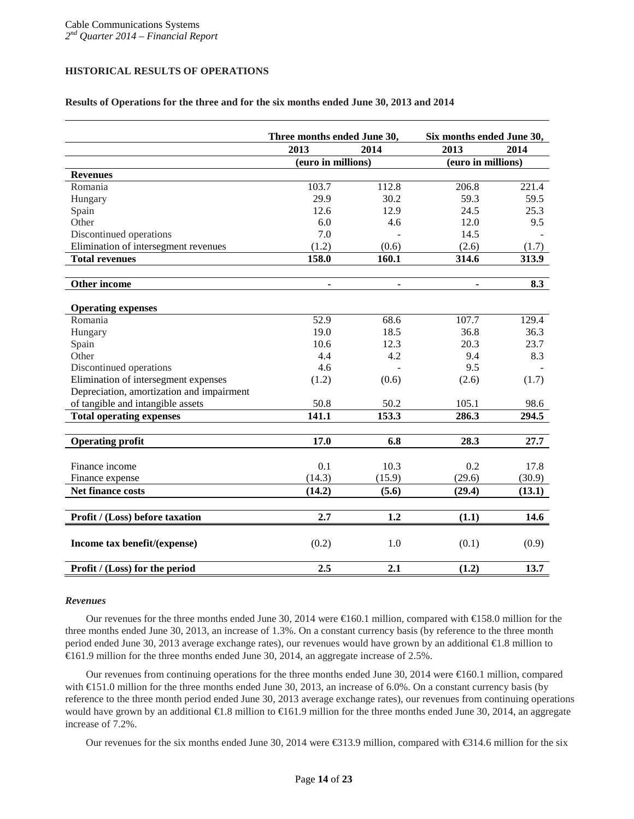## **HISTORICAL RESULTS OF OPERATIONS**

#### **Results of Operations for the three and for the six months ended June 30, 2013 and 2014**

|                                           | Three months ended June 30, |                | Six months ended June 30, |        |
|-------------------------------------------|-----------------------------|----------------|---------------------------|--------|
|                                           | 2013                        | 2014           | 2013                      | 2014   |
|                                           | (euro in millions)          |                | (euro in millions)        |        |
| <b>Revenues</b>                           |                             |                |                           |        |
| Romania                                   | 103.7                       | 112.8          | 206.8                     | 221.4  |
| Hungary                                   | 29.9                        | 30.2           | 59.3                      | 59.5   |
| Spain                                     | 12.6                        | 12.9           | 24.5                      | 25.3   |
| Other                                     | 6.0                         | 4.6            | 12.0                      | 9.5    |
| Discontinued operations                   | 7.0                         |                | 14.5                      |        |
| Elimination of intersegment revenues      | (1.2)                       | (0.6)          | (2.6)                     | (1.7)  |
| <b>Total revenues</b>                     | 158.0                       | 160.1          | 314.6                     | 313.9  |
|                                           |                             |                |                           |        |
| Other income                              | $\blacksquare$              | $\blacksquare$ | $\blacksquare$            | 8.3    |
|                                           |                             |                |                           |        |
| <b>Operating expenses</b>                 |                             |                |                           |        |
| Romania                                   | 52.9                        | 68.6           | 107.7                     | 129.4  |
| Hungary                                   | 19.0                        | 18.5           | 36.8                      | 36.3   |
| Spain                                     | 10.6                        | 12.3           | 20.3                      | 23.7   |
| Other                                     | 4.4                         | 4.2            | 9.4                       | 8.3    |
| Discontinued operations                   | 4.6                         |                | 9.5                       |        |
| Elimination of intersegment expenses      | (1.2)                       | (0.6)          | (2.6)                     | (1.7)  |
| Depreciation, amortization and impairment |                             |                |                           |        |
| of tangible and intangible assets         | 50.8                        | 50.2           | 105.1                     | 98.6   |
| <b>Total operating expenses</b>           | 141.1                       | 153.3          | 286.3                     | 294.5  |
|                                           |                             |                |                           |        |
| <b>Operating profit</b>                   | 17.0                        | 6.8            | 28.3                      | 27.7   |
|                                           |                             |                |                           |        |
| Finance income                            | 0.1                         | 10.3           | 0.2                       | 17.8   |
| Finance expense                           | (14.3)                      | (15.9)         | (29.6)                    | (30.9) |
| Net finance costs                         | (14.2)                      | (5.6)          | (29.4)                    | (13.1) |
|                                           |                             |                |                           |        |
| Profit / (Loss) before taxation           | 2.7                         | 1.2            | (1.1)                     | 14.6   |
| Income tax benefit/(expense)              | (0.2)                       | 1.0            | (0.1)                     | (0.9)  |
| Profit / (Loss) for the period            | 2.5                         | 2.1            | (1.2)                     | 13.7   |

#### *Revenues*

Our revenues for the three months ended June 30, 2014 were €160.1 million, compared with €158.0 million for the three months ended June 30, 2013, an increase of 1.3%. On a constant currency basis (by reference to the three month period ended June 30, 2013 average exchange rates), our revenues would have grown by an additional €1.8 million to €161.9 million for the three months ended June 30, 2014, an aggregate increase of 2.5%.

Our revenues from continuing operations for the three months ended June 30, 2014 were €160.1 million, compared with €151.0 million for the three months ended June 30, 2013, an increase of 6.0%. On a constant currency basis (by reference to the three month period ended June 30, 2013 average exchange rates), our revenues from continuing operations would have grown by an additional  $\bigoplus$ .8 million to  $\bigoplus$  61.9 million for the three months ended June 30, 2014, an aggregate increase of 7.2%.

Our revenues for the six months ended June 30, 2014 were €313.9 million, compared with €314.6 million for the six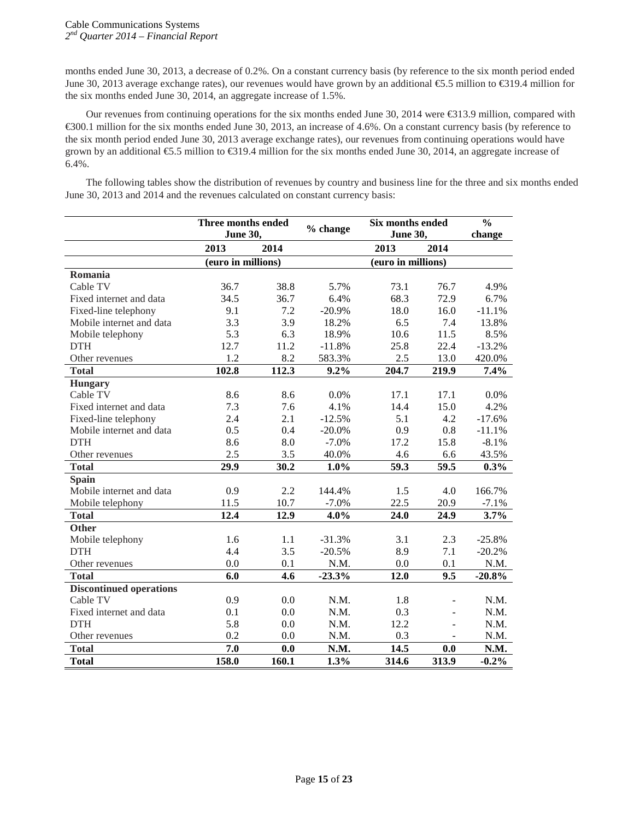months ended June 30, 2013, a decrease of 0.2%. On a constant currency basis (by reference to the six month period ended June 30, 2013 average exchange rates), our revenues would have grown by an additional €5.5 million to €319.4 million for the six months ended June 30, 2014, an aggregate increase of 1.5%.

Our revenues from continuing operations for the six months ended June 30, 2014 were €313.9 million, compared with €300.1 million for the six months ended June 30, 2013, an increase of 4.6%. On a constant currency basis (by reference to the six month period ended June 30, 2013 average exchange rates), our revenues from continuing operations would have grown by an additional €5.5 million to €319.4 million for the six months ended June 30, 2014, an aggregate increase of 6.4%.

The following tables show the distribution of revenues by country and business line for the three and six months ended June 30, 2013 and 2014 and the revenues calculated on constant currency basis:

|                                | Three months ended |                 | % change | <b>Six months ended</b> |       | $\frac{0}{0}$ |
|--------------------------------|--------------------|-----------------|----------|-------------------------|-------|---------------|
|                                |                    | <b>June 30,</b> |          | <b>June 30,</b>         |       | change        |
|                                | 2013               | 2014            |          | 2013                    | 2014  |               |
|                                | (euro in millions) |                 |          | (euro in millions)      |       |               |
| Romania                        |                    |                 |          |                         |       |               |
| Cable TV                       | 36.7               | 38.8            | 5.7%     | 73.1                    | 76.7  | 4.9%          |
| Fixed internet and data        | 34.5               | 36.7            | 6.4%     | 68.3                    | 72.9  | 6.7%          |
| Fixed-line telephony           | 9.1                | 7.2             | $-20.9%$ | 18.0                    | 16.0  | $-11.1%$      |
| Mobile internet and data       | 3.3                | 3.9             | 18.2%    | 6.5                     | 7.4   | 13.8%         |
| Mobile telephony               | 5.3                | 6.3             | 18.9%    | 10.6                    | 11.5  | 8.5%          |
| DTH                            | 12.7               | 11.2            | $-11.8%$ | 25.8                    | 22.4  | $-13.2%$      |
| Other revenues                 | 1.2                | 8.2             | 583.3%   | 2.5                     | 13.0  | 420.0%        |
| <b>Total</b>                   | 102.8              | 112.3           | 9.2%     | 204.7                   | 219.9 | 7.4%          |
| <b>Hungary</b>                 |                    |                 |          |                         |       |               |
| Cable TV                       | 8.6                | 8.6             | 0.0%     | 17.1                    | 17.1  | 0.0%          |
| Fixed internet and data        | 7.3                | 7.6             | 4.1%     | 14.4                    | 15.0  | 4.2%          |
| Fixed-line telephony           | 2.4                | 2.1             | $-12.5%$ | 5.1                     | 4.2   | $-17.6%$      |
| Mobile internet and data       | 0.5                | 0.4             | $-20.0%$ | 0.9                     | 0.8   | $-11.1%$      |
| <b>DTH</b>                     | 8.6                | 8.0             | $-7.0%$  | 17.2                    | 15.8  | $-8.1%$       |
| Other revenues                 | 2.5                | 3.5             | 40.0%    | 4.6                     | 6.6   | 43.5%         |
| <b>Total</b>                   | 29.9               | 30.2            | 1.0%     | 59.3                    | 59.5  | 0.3%          |
| <b>Spain</b>                   |                    |                 |          |                         |       |               |
| Mobile internet and data       | 0.9                | 2.2             | 144.4%   | 1.5                     | 4.0   | 166.7%        |
| Mobile telephony               | 11.5               | 10.7            | $-7.0%$  | 22.5                    | 20.9  | $-7.1%$       |
| <b>Total</b>                   | 12.4               | 12.9            | 4.0%     | 24.0                    | 24.9  | 3.7%          |
| <b>Other</b>                   |                    |                 |          |                         |       |               |
| Mobile telephony               | 1.6                | 1.1             | $-31.3%$ | 3.1                     | 2.3   | $-25.8%$      |
| <b>DTH</b>                     | 4.4                | 3.5             | $-20.5%$ | 8.9                     | 7.1   | $-20.2%$      |
| Other revenues                 | 0.0                | 0.1             | N.M.     | 0.0                     | 0.1   | N.M.          |
| <b>Total</b>                   | 6.0                | 4.6             | $-23.3%$ | 12.0                    | 9.5   | $-20.8%$      |
| <b>Discontinued operations</b> |                    |                 |          |                         |       |               |
| Cable TV                       | 0.9                | 0.0             | N.M.     | 1.8                     | ÷,    | N.M.          |
| Fixed internet and data        | 0.1                | 0.0             | N.M.     | 0.3                     | L.    | N.M.          |
| <b>DTH</b>                     | 5.8                | 0.0             | N.M.     | 12.2                    | L.    | N.M.          |
| Other revenues                 | 0.2                | 0.0             | N.M.     | 0.3                     |       | N.M.          |
| <b>Total</b>                   | 7.0                | 0.0             | N.M.     | 14.5                    | 0.0   | N.M.          |
| <b>Total</b>                   | 158.0              | 160.1           | 1.3%     | 314.6                   | 313.9 | $-0.2%$       |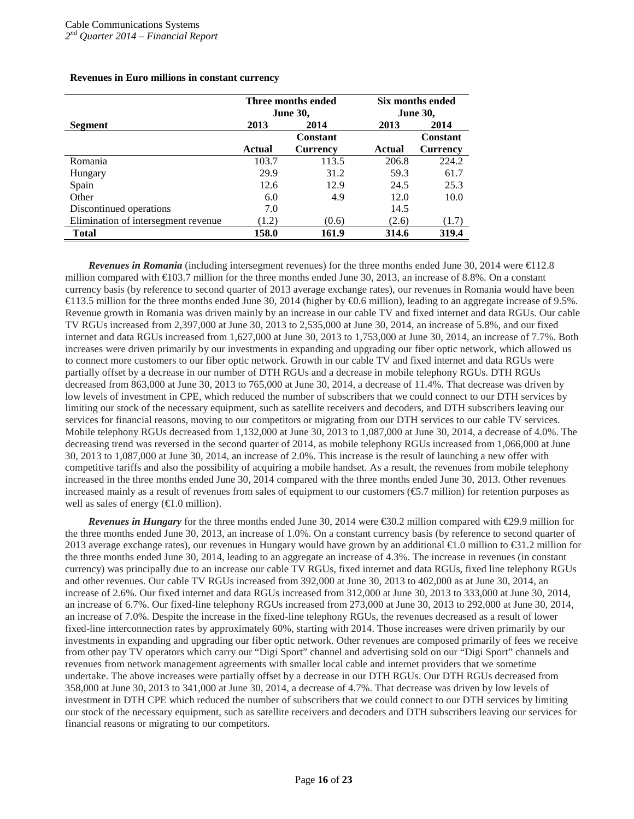|                                      |                 | Three months ended |        | Six months ended |
|--------------------------------------|-----------------|--------------------|--------|------------------|
|                                      | <b>June 30,</b> |                    |        | <b>June 30,</b>  |
| Segment                              | 2013            | 2014               | 2013   | 2014             |
|                                      |                 | Constant           |        | Constant         |
|                                      | Actual          | <b>Currency</b>    | Actual | <b>Currency</b>  |
| Romania                              | 103.7           | 113.5              | 206.8  | 224.2            |
| Hungary                              | 29.9            | 31.2               | 59.3   | 61.7             |
| Spain                                | 12.6            | 12.9               | 24.5   | 25.3             |
| Other                                | 6.0             | 4.9                | 12.0   | 10.0             |
| Discontinued operations              | 7.0             |                    | 14.5   |                  |
| Elimination of intersegment revenue. | (1.2)           | (0.6)              | (2.6)  | (1.7)            |
| <b>Total</b>                         | 158.0           | 161.9              | 314.6  | 319.4            |

#### **Revenues in Euro millions in constant currency**

*Revenues in Romania* (including intersegment revenues) for the three months ended June 30, 2014 were €12.8 million compared with €103.7 million for the three months ended June 30, 2013, an increase of 8.8%. On a constant currency basis (by reference to second quarter of 2013 average exchange rates), our revenues in Romania would have been €113.5 million for the three months ended June 30, 2014 (higher by €0.6 million), leading to an aggregate increase of 9.5%. Revenue growth in Romania was driven mainly by an increase in our cable TV and fixed internet and data RGUs. Our cable TV RGUs increased from 2,397,000 at June 30, 2013 to 2,535,000 at June 30, 2014, an increase of 5.8%, and our fixed internet and data RGUs increased from 1,627,000 at June 30, 2013 to 1,753,000 at June 30, 2014, an increase of 7.7%. Both increases were driven primarily by our investments in expanding and upgrading our fiber optic network, which allowed us to connect more customers to our fiber optic network. Growth in our cable TV and fixed internet and data RGUs were partially offset by a decrease in our number of DTH RGUs and a decrease in mobile telephony RGUs. DTH RGUs decreased from 863,000 at June 30, 2013 to 765,000 at June 30, 2014, a decrease of 11.4%. That decrease was driven by low levels of investment in CPE, which reduced the number of subscribers that we could connect to our DTH services by limiting our stock of the necessary equipment, such as satellite receivers and decoders, and DTH subscribers leaving our services for financial reasons, moving to our competitors or migrating from our DTH services to our cable TV services. Mobile telephony RGUs decreased from 1,132,000 at June 30, 2013 to 1,087,000 at June 30, 2014, a decrease of 4.0%. The decreasing trend was reversed in the second quarter of 2014, as mobile telephony RGUs increased from 1,066,000 at June 30, 2013 to 1,087,000 at June 30, 2014, an increase of 2.0%. This increase is the result of launching a new offer with competitive tariffs and also the possibility of acquiring a mobile handset. As a result, the revenues from mobile telephony increased in the three months ended June 30, 2014 compared with the three months ended June 30, 2013. Other revenues increased mainly as a result of revenues from sales of equipment to our customers (€5.7 million) for retention purposes as well as sales of energy  $(\text{\ensuremath{\in}} 1.0 \text{ million})$ .

*Revenues in Hungary* for the three months ended June 30, 2014 were  $\infty$ 30.2 million compared with  $\infty$ 9.9 million for the three months ended June 30, 2013, an increase of 1.0%. On a constant currency basis (by reference to second quarter of 2013 average exchange rates), our revenues in Hungary would have grown by an additional  $\bigoplus$  0 million to  $\bigoplus$ 1.2 million for the three months ended June 30, 2014, leading to an aggregate an increase of 4.3%. The increase in revenues (in constant currency) was principally due to an increase our cable TV RGUs, fixed internet and data RGUs, fixed line telephony RGUs and other revenues. Our cable TV RGUs increased from 392,000 at June 30, 2013 to 402,000 as at June 30, 2014, an increase of 2.6%. Our fixed internet and data RGUs increased from 312,000 at June 30, 2013 to 333,000 at June 30, 2014, an increase of 6.7%. Our fixed-line telephony RGUs increased from 273,000 at June 30, 2013 to 292,000 at June 30, 2014, an increase of 7.0%. Despite the increase in the fixed-line telephony RGUs, the revenues decreased as a result of lower fixed-line interconnection rates by approximately 60%, starting with 2014. Those increases were driven primarily by our investments in expanding and upgrading our fiber optic network. Other revenues are composed primarily of fees we receive from other pay TV operators which carry our "Digi Sport" channel and advertising sold on our "Digi Sport" channels and revenues from network management agreements with smaller local cable and internet providers that we sometime undertake. The above increases were partially offset by a decrease in our DTH RGUs. Our DTH RGUs decreased from 358,000 at June 30, 2013 to 341,000 at June 30, 2014, a decrease of 4.7%. That decrease was driven by low levels of investment in DTH CPE which reduced the number of subscribers that we could connect to our DTH services by limiting our stock of the necessary equipment, such as satellite receivers and decoders and DTH subscribers leaving our services for financial reasons or migrating to our competitors.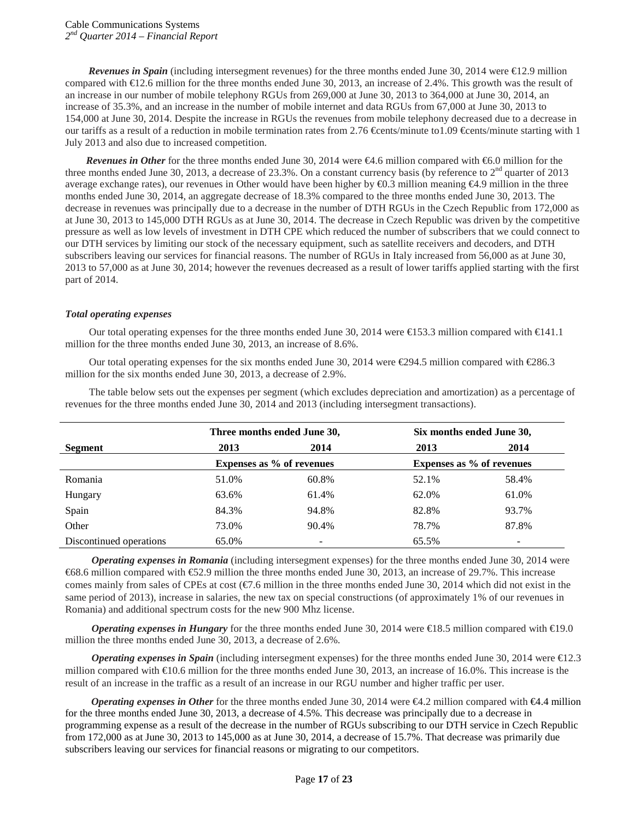*Revenues in Spain* (including intersegment revenues) for the three months ended June 30, 2014 were  $\in$ 12.9 million compared with €12.6 million for the three months ended June 30, 2013, an increase of 2.4%. This growth was the result of an increase in our number of mobile telephony RGUs from 269,000 at June 30, 2013 to 364,000 at June 30, 2014, an increase of 35.3%, and an increase in the number of mobile internet and data RGUs from 67,000 at June 30, 2013 to 154,000 at June 30, 2014. Despite the increase in RGUs the revenues from mobile telephony decreased due to a decrease in our tariffs as a result of a reduction in mobile termination rates from 2.76  $\epsilon$ ents/minute to1.09  $\epsilon$ ents/minute starting with 1 July 2013 and also due to increased competition.

*Revenues in Other* for the three months ended June 30, 2014 were €4.6 million compared with €6.0 million for the three months ended June 30, 2013, a decrease of 23.3%. On a constant currency basis (by reference to  $2<sup>nd</sup>$  quarter of 2013 average exchange rates), our revenues in Other would have been higher by  $\textcircled{4.3}$  million meaning  $\textcircled{4.9}$  million in the three months ended June 30, 2014, an aggregate decrease of 18.3% compared to the three months ended June 30, 2013. The decrease in revenues was principally due to a decrease in the number of DTH RGUs in the Czech Republic from 172,000 as at June 30, 2013 to 145,000 DTH RGUs as at June 30, 2014. The decrease in Czech Republic was driven by the competitive pressure as well as low levels of investment in DTH CPE which reduced the number of subscribers that we could connect to our DTH services by limiting our stock of the necessary equipment, such as satellite receivers and decoders, and DTH subscribers leaving our services for financial reasons. The number of RGUs in Italy increased from 56,000 as at June 30, 2013 to 57,000 as at June 30, 2014; however the revenues decreased as a result of lower tariffs applied starting with the first part of 2014.

### *Total operating expenses*

Our total operating expenses for the three months ended June 30, 2014 were  $\epsilon$ 153.3 million compared with  $\epsilon$ 141.1 million for the three months ended June 30, 2013, an increase of 8.6%.

Our total operating expenses for the six months ended June 30, 2014 were €294.5 million compared with €286.3 million for the six months ended June 30, 2013, a decrease of 2.9%.

|                         |                           | Three months ended June 30, | Six months ended June 30, |                           |  |
|-------------------------|---------------------------|-----------------------------|---------------------------|---------------------------|--|
| <b>Segment</b>          | 2013                      | 2014                        | 2013                      | 2014                      |  |
|                         | Expenses as % of revenues |                             |                           | Expenses as % of revenues |  |
| Romania                 | 51.0%                     | 60.8%                       | 52.1%                     | 58.4%                     |  |
| Hungary                 | 63.6%                     | 61.4%                       | 62.0%                     | 61.0%                     |  |
| Spain                   | 84.3%                     | 94.8%                       | 82.8%                     | 93.7%                     |  |
| Other                   | 73.0%                     | 90.4%                       | 78.7%                     | 87.8%                     |  |
| Discontinued operations | 65.0%                     | -                           | 65.5%                     | -                         |  |

The table below sets out the expenses per segment (which excludes depreciation and amortization) as a percentage of revenues for the three months ended June 30, 2014 and 2013 (including intersegment transactions).

*Operating expenses in Romania* (including intersegment expenses) for the three months ended June 30, 2014 were €68.6 million compared with €52.9 million the three months ended June 30, 2013, an increase of 29.7%. This increase comes mainly from sales of CPEs at cost  $(\text{\textcircled{=}}7.6$  million in the three months ended June 30, 2014 which did not exist in the same period of 2013), increase in salaries, the new tax on special constructions (of approximately 1% of our revenues in Romania) and additional spectrum costs for the new 900 Mhz license.

*Operating expenses in Hungary* for the three months ended June 30, 2014 were €18.5 million compared with €19.0 million the three months ended June 30, 2013, a decrease of 2.6%.

*Operating expenses in Spain* (including intersegment expenses) for the three months ended June 30, 2014 were €12.3 million compared with  $\in$  10.6 million for the three months ended June 30, 2013, an increase of 16.0%. This increase is the result of an increase in the traffic as a result of an increase in our RGU number and higher traffic per user.

*Operating expenses in Other* for the three months ended June 30, 2014 were €4.2 million compared with €4.4 million for the three months ended June 30, 2013, a decrease of 4.5%. This decrease was principally due to a decrease in programming expense as a result of the decrease in the number of RGUs subscribing to our DTH service in Czech Republic from 172,000 as at June 30, 2013 to 145,000 as at June 30, 2014, a decrease of 15.7%. That decrease was primarily due subscribers leaving our services for financial reasons or migrating to our competitors.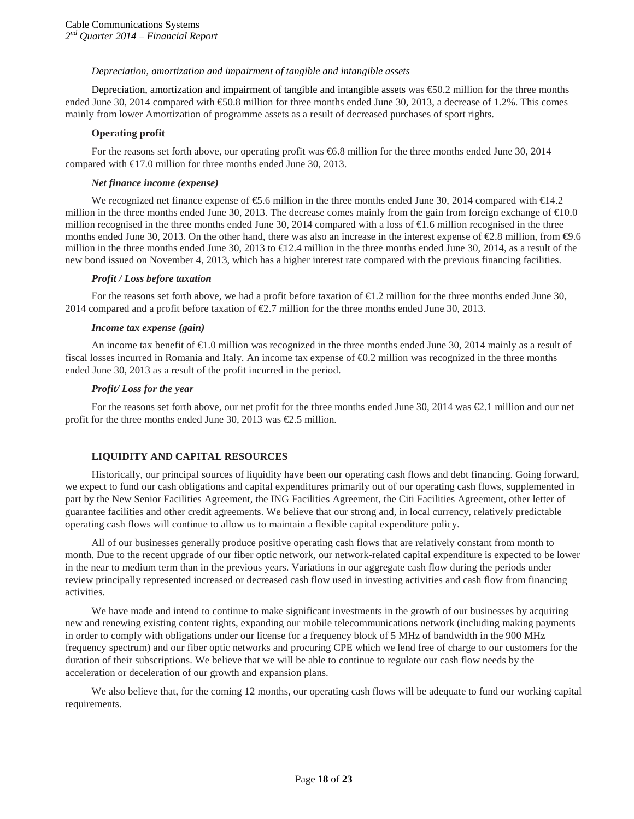## *Depreciation, amortization and impairment of tangible and intangible assets*

Depreciation, amortization and impairment of tangible and intangible assets was  $\epsilon$ 50.2 million for the three months ended June 30, 2014 compared with €50.8 million for three months ended June 30, 2013, a decrease of 1.2%. This comes mainly from lower Amortization of programme assets as a result of decreased purchases of sport rights.

## **Operating profit**

For the reasons set forth above, our operating profit was €6.8 million for the three months ended June 30, 2014 compared with €17.0 million for three months ended June 30, 2013.

### *Net finance income (expense)*

We recognized net finance expense of €5.6 million in the three months ended June 30, 2014 compared with €14.2 million in the three months ended June 30, 2013. The decrease comes mainly from the gain from foreign exchange of  $\epsilon 0.0$ million recognised in the three months ended June 30, 2014 compared with a loss of €1.6 million recognised in the three months ended June 30, 2013. On the other hand, there was also an increase in the interest expense of €2.8 million, from €9.6 million in the three months ended June 30, 2013 to  $\bigoplus$  2.4 million in the three months ended June 30, 2014, as a result of the new bond issued on November 4, 2013, which has a higher interest rate compared with the previous financing facilities.

### *Profit / Loss before taxation*

For the reasons set forth above, we had a profit before taxation of €1.2 million for the three months ended June 30, 2014 compared and a profit before taxation of €2.7 million for the three months ended June 30, 2013.

### *Income tax expense (gain)*

An income tax benefit of €1.0 million was recognized in the three months ended June 30, 2014 mainly as a result of fiscal losses incurred in Romania and Italy. An income tax expense of €0.2 million was recognized in the three months ended June 30, 2013 as a result of the profit incurred in the period.

### *Profit/ Loss for the year*

For the reasons set forth above, our net profit for the three months ended June 30, 2014 was  $\epsilon$ 2.1 million and our net profit for the three months ended June 30, 2013 was €2.5 million.

## **LIQUIDITY AND CAPITAL RESOURCES**

Historically, our principal sources of liquidity have been our operating cash flows and debt financing. Going forward, we expect to fund our cash obligations and capital expenditures primarily out of our operating cash flows, supplemented in part by the New Senior Facilities Agreement, the ING Facilities Agreement, the Citi Facilities Agreement, other letter of guarantee facilities and other credit agreements. We believe that our strong and, in local currency, relatively predictable operating cash flows will continue to allow us to maintain a flexible capital expenditure policy.

All of our businesses generally produce positive operating cash flows that are relatively constant from month to month. Due to the recent upgrade of our fiber optic network, our network-related capital expenditure is expected to be lower in the near to medium term than in the previous years. Variations in our aggregate cash flow during the periods under review principally represented increased or decreased cash flow used in investing activities and cash flow from financing activities.

We have made and intend to continue to make significant investments in the growth of our businesses by acquiring new and renewing existing content rights, expanding our mobile telecommunications network (including making payments in order to comply with obligations under our license for a frequency block of 5 MHz of bandwidth in the 900 MHz frequency spectrum) and our fiber optic networks and procuring CPE which we lend free of charge to our customers for the duration of their subscriptions. We believe that we will be able to continue to regulate our cash flow needs by the acceleration or deceleration of our growth and expansion plans.

We also believe that, for the coming 12 months, our operating cash flows will be adequate to fund our working capital requirements.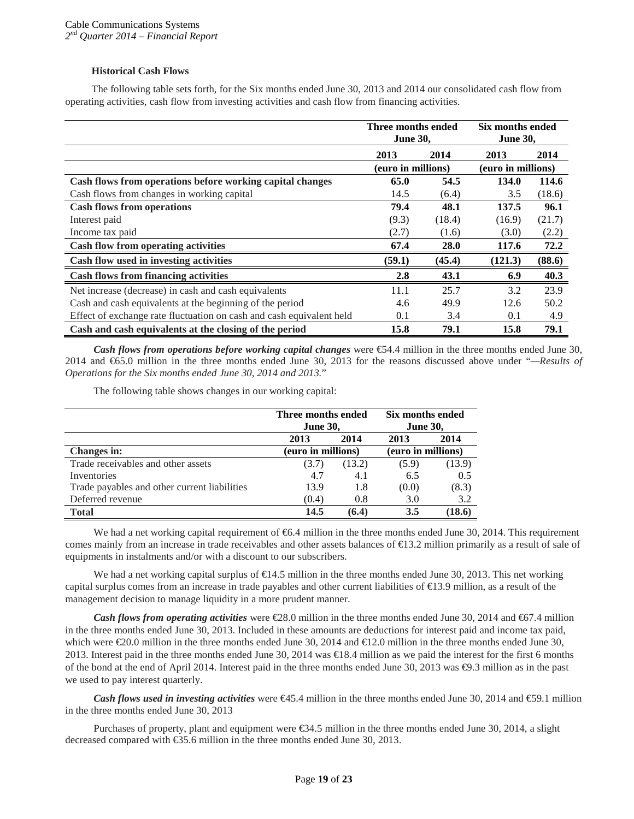### **Historical Cash Flows**

The following table sets forth, for the Six months ended June 30, 2013 and 2014 our consolidated cash flow from operating activities, cash flow from investing activities and cash flow from financing activities.

|                                                                      | Three months ended<br><b>June 30,</b> |        | Six months ended<br><b>June 30,</b> |        |
|----------------------------------------------------------------------|---------------------------------------|--------|-------------------------------------|--------|
|                                                                      | 2013                                  | 2014   | 2013                                | 2014   |
|                                                                      | (euro in millions)                    |        | (euro in millions)                  |        |
| Cash flows from operations before working capital changes            | 65.0                                  | 54.5   | 134.0                               | 114.6  |
| Cash flows from changes in working capital                           | 14.5                                  | (6.4)  | 3.5                                 | (18.6) |
| <b>Cash flows from operations</b>                                    | 79.4                                  | 48.1   | 137.5                               | 96.1   |
| Interest paid                                                        | (9.3)                                 | (18.4) | (16.9)                              | (21.7) |
| Income tax paid                                                      | (2.7)                                 | (1.6)  | (3.0)                               | (2.2)  |
| <b>Cash flow from operating activities</b>                           | 67.4                                  | 28.0   | 117.6                               | 72.2   |
| Cash flow used in investing activities                               | (59.1)                                | (45.4) | (121.3)                             | (88.6) |
| <b>Cash flows from financing activities</b>                          | 2.8                                   | 43.1   | 6.9                                 | 40.3   |
| Net increase (decrease) in cash and cash equivalents                 | 11.1                                  | 25.7   | 3.2                                 | 23.9   |
| Cash and cash equivalents at the beginning of the period             | 4.6                                   | 49.9   | 12.6                                | 50.2   |
| Effect of exchange rate fluctuation on cash and cash equivalent held | 0.1                                   | 3.4    | 0.1                                 | 4.9    |
| Cash and cash equivalents at the closing of the period               | 15.8                                  | 79.1   | 15.8                                | 79.1   |

*Cash flows from <i>operations before working capital changes* were  $\in$  4.4 million in the three months ended June 30, 2014 and €65.0 million in the three months ended June 30, 2013 for the reasons discussed above under "*—Results of Operations for the Six months ended June 30, 2014 and 2013.*"

The following table shows changes in our working capital:

|                                              | Three months ended |        | Six months ended   |        |
|----------------------------------------------|--------------------|--------|--------------------|--------|
|                                              | <b>June 30,</b>    |        | <b>June 30,</b>    |        |
|                                              | 2013               | 2014   | 2013               | 2014   |
| <b>Changes in:</b>                           | (euro in millions) |        | (euro in millions) |        |
| Trade receivables and other assets           | (3.7)              | (13.2) | (5.9)              | (13.9) |
| Inventories                                  | 4.7                | 4.1    | 6.5                | 0.5    |
| Trade payables and other current liabilities | 13.9               | 1.8    | (0.0)              | (8.3)  |
| Deferred revenue                             | (0.4)              | 0.8    | 3.0                | 3.2    |
| <b>Total</b>                                 | 14.5               | (6.4)  | 3.5                | (18.6) |

We had a net working capital requirement of  $66.4$  million in the three months ended June 30, 2014. This requirement comes mainly from an increase in trade receivables and other assets balances of €13.2 million primarily as a result of sale of equipments in instalments and/or with a discount to our subscribers.

We had a net working capital surplus of €14.5 million in the three months ended June 30, 2013. This net working capital surplus comes from an increase in trade payables and other current liabilities of  $\epsilon$ 13.9 million, as a result of the management decision to manage liquidity in a more prudent manner.

*Cash flows from <i>operating activities* were €28.0 million in the three months ended June 30, 2014 and €67.4 million in the three months ended June 30, 2013. Included in these amounts are deductions for interest paid and income tax paid, which were €20.0 million in the three months ended June 30, 2014 and €12.0 million in the three months ended June 30, 2013. Interest paid in the three months ended June 30, 2014 was €18.4 million as we paid the interest for the first 6 months of the bond at the end of April 2014. Interest paid in the three months ended June 30, 2013 was  $\Theta$ .3 million as in the past we used to pay interest quarterly.

*Cash flows used in investing activities* were  $\bigoplus$  5.4 million in the three months ended June 30, 2014 and  $\bigoplus$  9.1 million in the three months ended June 30, 2013

Purchases of property, plant and equipment were €34.5 million in the three months ended June 30, 2014, a slight decreased compared with €35.6 million in the three months ended June 30, 2013.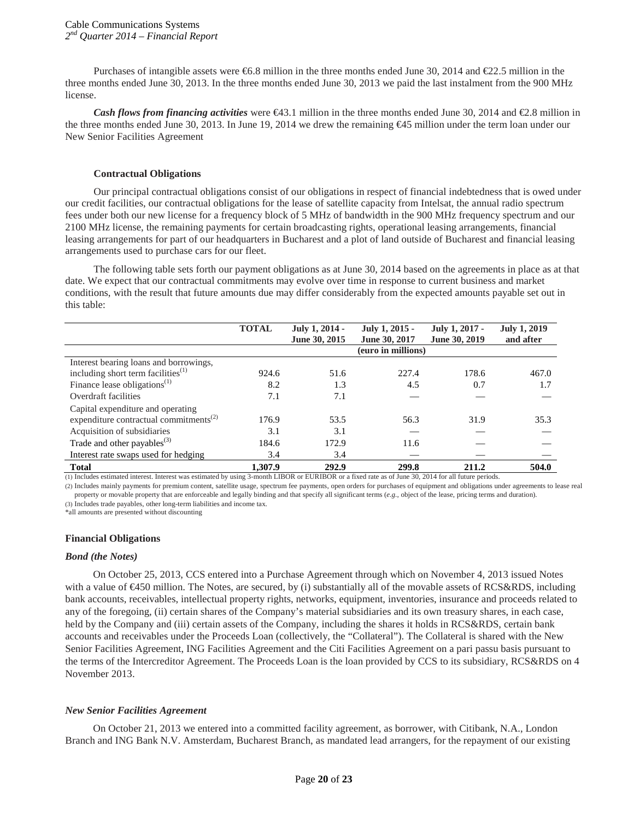Purchases of intangible assets were €6.8 million in the three months ended June 30, 2014 and €22.5 million in the three months ended June 30, 2013. In the three months ended June 30, 2013 we paid the last instalment from the 900 MHz license.

*Cash flows from financing activities* were €43.1 million in the three months ended June 30, 2014 and €2.8 million in the three months ended June 30, 2013. In June 19, 2014 we drew the remaining €45 million under the term loan under our New Senior Facilities Agreement

#### **Contractual Obligations**

Our principal contractual obligations consist of our obligations in respect of financial indebtedness that is owed under our credit facilities, our contractual obligations for the lease of satellite capacity from Intelsat, the annual radio spectrum fees under both our new license for a frequency block of 5 MHz of bandwidth in the 900 MHz frequency spectrum and our 2100 MHz license, the remaining payments for certain broadcasting rights, operational leasing arrangements, financial leasing arrangements for part of our headquarters in Bucharest and a plot of land outside of Bucharest and financial leasing arrangements used to purchase cars for our fleet.

The following table sets forth our payment obligations as at June 30, 2014 based on the agreements in place as at that date. We expect that our contractual commitments may evolve over time in response to current business and market conditions, with the result that future amounts due may differ considerably from the expected amounts payable set out in this table:

|                                                    | <b>TOTAL</b> | July 1, 2014 -<br>June 30, 2015 | July 1, 2015 -<br>June 30, 2017 | July 1, 2017 -<br>June 30, 2019 | <b>July 1, 2019</b><br>and after |
|----------------------------------------------------|--------------|---------------------------------|---------------------------------|---------------------------------|----------------------------------|
|                                                    |              |                                 | (euro in millions)              |                                 |                                  |
| Interest bearing loans and borrowings,             |              |                                 |                                 |                                 |                                  |
| including short term facilities <sup>(1)</sup>     | 924.6        | 51.6                            | 227.4                           | 178.6                           | 467.0                            |
| Finance lease obligations $^{(1)}$                 | 8.2          | 1.3                             | 4.5                             | 0.7                             | 1.7                              |
| Overdraft facilities                               | 7.1          | 7.1                             |                                 |                                 |                                  |
| Capital expenditure and operating                  |              |                                 |                                 |                                 |                                  |
| expenditure contractual commitments <sup>(2)</sup> | 176.9        | 53.5                            | 56.3                            | 31.9                            | 35.3                             |
| Acquisition of subsidiaries                        | 3.1          | 3.1                             |                                 |                                 |                                  |
| Trade and other payables <sup>(3)</sup>            | 184.6        | 172.9                           | 11.6                            |                                 |                                  |
| Interest rate swaps used for hedging               | 3.4          | 3.4                             |                                 |                                 |                                  |
| <b>Total</b>                                       | 1.307.9      | 292.9                           | 299.8                           | 211.2                           | 504.0                            |

(1) Includes estimated interest. Interest was estimated by using 3-month LIBOR or EURIBOR or a fixed rate as of June 30, 2014 for all future periods.

(2) Includes mainly payments for premium content, satellite usage, spectrum fee payments, open orders for purchases of equipment and obligations under agreements to lease real property or movable property that are enforceable and legally binding and that specify all significant terms (*e.g.*, object of the lease, pricing terms and duration). (3) Includes trade payables, other long-term liabilities and income tax.

\*all amounts are presented without discounting

#### **Financial Obligations**

#### *Bond (the Notes)*

On October 25, 2013, CCS entered into a Purchase Agreement through which on November 4, 2013 issued Notes with a value of €450 million. The Notes, are secured, by (i) substantially all of the movable assets of RCS&RDS, including bank accounts, receivables, intellectual property rights, networks, equipment, inventories, insurance and proceeds related to any of the foregoing, (ii) certain shares of the Company's material subsidiaries and its own treasury shares, in each case, held by the Company and (iii) certain assets of the Company, including the shares it holds in RCS&RDS, certain bank accounts and receivables under the Proceeds Loan (collectively, the "Collateral"). The Collateral is shared with the New Senior Facilities Agreement, ING Facilities Agreement and the Citi Facilities Agreement on a pari passu basis pursuant to the terms of the Intercreditor Agreement. The Proceeds Loan is the loan provided by CCS to its subsidiary, RCS&RDS on 4 November 2013.

#### *New Senior Facilities Agreement*

On October 21, 2013 we entered into a committed facility agreement, as borrower, with Citibank, N.A., London Branch and ING Bank N.V. Amsterdam, Bucharest Branch, as mandated lead arrangers, for the repayment of our existing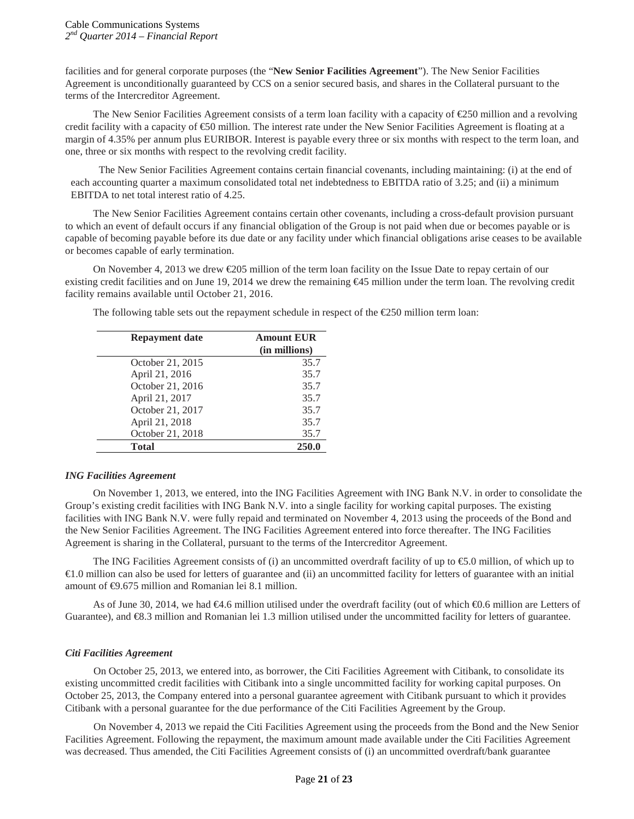facilities and for general corporate purposes (the "**New Senior Facilities Agreement**"). The New Senior Facilities Agreement is unconditionally guaranteed by CCS on a senior secured basis, and shares in the Collateral pursuant to the terms of the Intercreditor Agreement.

The New Senior Facilities Agreement consists of a term loan facility with a capacity of €250 million and a revolving credit facility with a capacity of €50 million. The interest rate under the New Senior Facilities Agreement is floating at a margin of 4.35% per annum plus EURIBOR. Interest is payable every three or six months with respect to the term loan, and one, three or six months with respect to the revolving credit facility.

The New Senior Facilities Agreement contains certain financial covenants, including maintaining: (i) at the end of each accounting quarter a maximum consolidated total net indebtedness to EBITDA ratio of 3.25; and (ii) a minimum EBITDA to net total interest ratio of 4.25.

The New Senior Facilities Agreement contains certain other covenants, including a cross-default provision pursuant to which an event of default occurs if any financial obligation of the Group is not paid when due or becomes payable or is capable of becoming payable before its due date or any facility under which financial obligations arise ceases to be available or becomes capable of early termination.

On November 4, 2013 we drew €205 million of the term loan facility on the Issue Date to repay certain of our existing credit facilities and on June 19, 2014 we drew the remaining €45 million under the term loan. The revolving credit facility remains available until October 21, 2016.

The following table sets out the repayment schedule in respect of the  $E$ 250 million term loan:

| <b>Repayment date</b> | <b>Amount EUR</b><br>(in millions) |
|-----------------------|------------------------------------|
| October 21, 2015      | 35.7                               |
| April 21, 2016        | 35.7                               |
| October 21, 2016      | 35.7                               |
| April 21, 2017        | 35.7                               |
| October 21, 2017      | 35.7                               |
| April 21, 2018        | 35.7                               |
| October 21, 2018      | 35.7                               |
| <b>Total</b>          | 250.0                              |

## *ING Facilities Agreement*

On November 1, 2013, we entered, into the ING Facilities Agreement with ING Bank N.V. in order to consolidate the Group's existing credit facilities with ING Bank N.V. into a single facility for working capital purposes. The existing facilities with ING Bank N.V. were fully repaid and terminated on November 4, 2013 using the proceeds of the Bond and the New Senior Facilities Agreement. The ING Facilities Agreement entered into force thereafter. The ING Facilities Agreement is sharing in the Collateral, pursuant to the terms of the Intercreditor Agreement.

The ING Facilities Agreement consists of (i) an uncommitted overdraft facility of up to  $\epsilon$ . O million, of which up to €1.0 million can also be used for letters of guarantee and (ii) an uncommitted facility for letters of guarantee with an initial amount of  $\Theta$ .675 million and Romanian lei 8.1 million.

As of June 30, 2014, we had €4.6 million utilised under the overdraft facility (out of which €0.6 million are Letters of Guarantee), and €8.3 million and Romanian lei 1.3 million utilised under the uncommitted facility for letters of guarantee.

## *Citi Facilities Agreement*

On October 25, 2013, we entered into, as borrower, the Citi Facilities Agreement with Citibank, to consolidate its existing uncommitted credit facilities with Citibank into a single uncommitted facility for working capital purposes. On October 25, 2013, the Company entered into a personal guarantee agreement with Citibank pursuant to which it provides Citibank with a personal guarantee for the due performance of the Citi Facilities Agreement by the Group.

On November 4, 2013 we repaid the Citi Facilities Agreement using the proceeds from the Bond and the New Senior Facilities Agreement. Following the repayment, the maximum amount made available under the Citi Facilities Agreement was decreased. Thus amended, the Citi Facilities Agreement consists of (i) an uncommitted overdraft/bank guarantee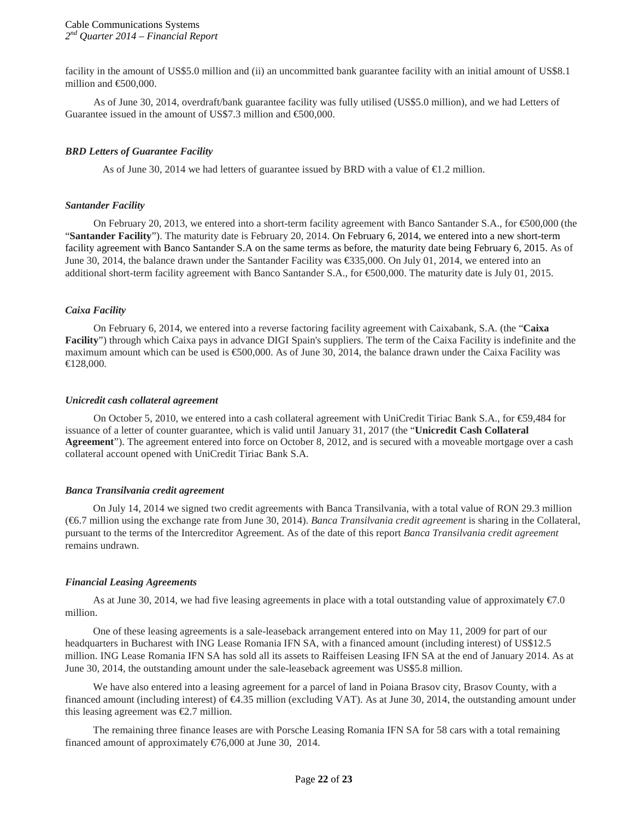facility in the amount of US\$5.0 million and (ii) an uncommitted bank guarantee facility with an initial amount of US\$8.1 million and  $\text{\textsterling}00,000$ .

As of June 30, 2014, overdraft/bank guarantee facility was fully utilised (US\$5.0 million), and we had Letters of Guarantee issued in the amount of US\$7.3 million and €500,000.

#### *BRD Letters of Guarantee Facility*

As of June 30, 2014 we had letters of guarantee issued by BRD with a value of  $\epsilon$ 1.2 million.

#### *Santander Facility*

On February 20, 2013, we entered into a short-term facility agreement with Banco Santander S.A., for  $\epsilon$ 500,000 (the "**Santander Facility**"). The maturity date is February 20, 2014. On February 6, 2014, we entered into a new short-term facility agreement with Banco Santander S.A on the same terms as before, the maturity date being February 6, 2015. As of June 30, 2014, the balance drawn under the Santander Facility was €335,000. On July 01, 2014, we entered into an additional short-term facility agreement with Banco Santander S.A., for €500,000. The maturity date is July 01, 2015.

#### *Caixa Facility*

On February 6, 2014, we entered into a reverse factoring facility agreement with Caixabank, S.A. (the "**Caixa Facility**") through which Caixa pays in advance DIGI Spain's suppliers. The term of the Caixa Facility is indefinite and the maximum amount which can be used is  $\text{\textsterling}500,000$ . As of June 30, 2014, the balance drawn under the Caixa Facility was €128,000.

#### *Unicredit cash collateral agreement*

On October 5, 2010, we entered into a cash collateral agreement with UniCredit Tiriac Bank S.A., for €59,484 for issuance of a letter of counter guarantee, which is valid until January 31, 2017 (the "**Unicredit Cash Collateral Agreement**"). The agreement entered into force on October 8, 2012, and is secured with a moveable mortgage over a cash collateral account opened with UniCredit Tiriac Bank S.A.

#### *Banca Transilvania credit agreement*

On July 14, 2014 we signed two credit agreements with Banca Transilvania, with a total value of RON 29.3 million (€6.7 million using the exchange rate from June 30, 2014). *Banca Transilvania credit agreement* is sharing in the Collateral, pursuant to the terms of the Intercreditor Agreement. As of the date of this report *Banca Transilvania credit agreement* remains undrawn.

#### *Financial Leasing Agreements*

As at June 30, 2014, we had five leasing agreements in place with a total outstanding value of approximately  $\epsilon 7.0$ million.

One of these leasing agreements is a sale-leaseback arrangement entered into on May 11, 2009 for part of our headquarters in Bucharest with ING Lease Romania IFN SA, with a financed amount (including interest) of US\$12.5 million. ING Lease Romania IFN SA has sold all its assets to Raiffeisen Leasing IFN SA at the end of January 2014. As at June 30, 2014, the outstanding amount under the sale-leaseback agreement was US\$5.8 million.

We have also entered into a leasing agreement for a parcel of land in Poiana Brasov city, Brasov County, with a financed amount (including interest) of  $\bigoplus$ .35 million (excluding VAT). As at June 30, 2014, the outstanding amount under this leasing agreement was  $\epsilon$ 2.7 million.

The remaining three finance leases are with Porsche Leasing Romania IFN SA for 58 cars with a total remaining financed amount of approximately  $\epsilon$ 76,000 at June 30, 2014.